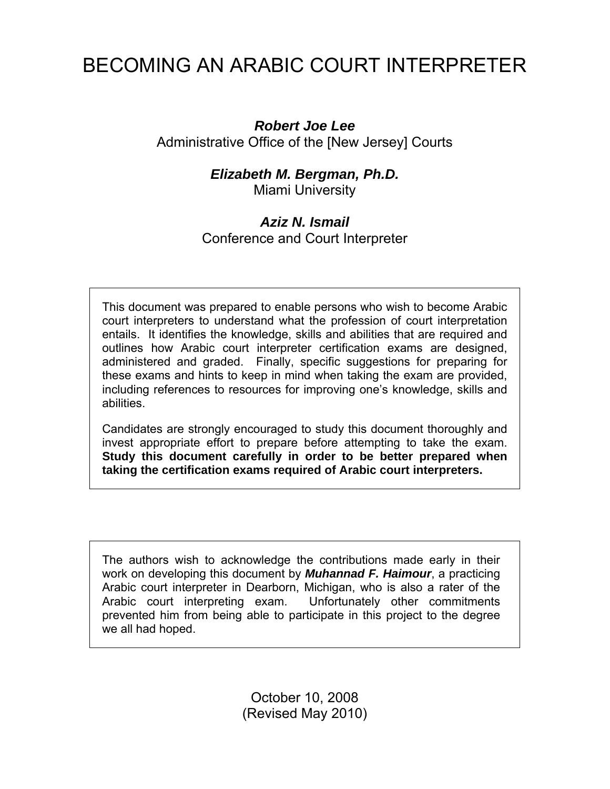# BECOMING AN ARABIC COURT INTERPRETER

### *Robert Joe Lee*

Administrative Office of the [New Jersey] Courts

# *Elizabeth M. Bergman, Ph.D.*

Miami University

# *Aziz N. Ismail*

Conference and Court Interpreter

This document was prepared to enable persons who wish to become Arabic court interpreters to understand what the profession of court interpretation entails. It identifies the knowledge, skills and abilities that are required and outlines how Arabic court interpreter certification exams are designed, administered and graded. Finally, specific suggestions for preparing for these exams and hints to keep in mind when taking the exam are provided, including references to resources for improving one's knowledge, skills and abilities.

Candidates are strongly encouraged to study this document thoroughly and invest appropriate effort to prepare before attempting to take the exam. **Study this document carefully in order to be better prepared when taking the certification exams required of Arabic court interpreters.**

The authors wish to acknowledge the contributions made early in their work on developing this document by *Muhannad F. Haimour*, a practicing Arabic court interpreter in Dearborn, Michigan, who is also a rater of the Arabic court interpreting exam. Unfortunately other commitments prevented him from being able to participate in this project to the degree we all had hoped.

> October 10, 2008 (Revised May 2010)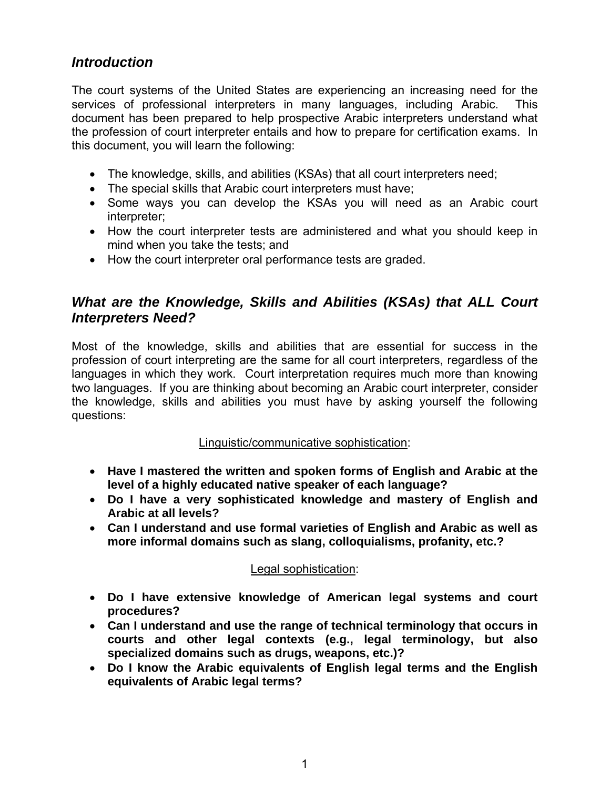# *Introduction*

The court systems of the United States are experiencing an increasing need for the services of professional interpreters in many languages, including Arabic. This document has been prepared to help prospective Arabic interpreters understand what the profession of court interpreter entails and how to prepare for certification exams. In this document, you will learn the following:

- The knowledge, skills, and abilities (KSAs) that all court interpreters need;
- The special skills that Arabic court interpreters must have;
- Some ways you can develop the KSAs you will need as an Arabic court interpreter;
- How the court interpreter tests are administered and what you should keep in mind when you take the tests; and
- How the court interpreter oral performance tests are graded.

# *What are the Knowledge, Skills and Abilities (KSAs) that ALL Court Interpreters Need?*

Most of the knowledge, skills and abilities that are essential for success in the profession of court interpreting are the same for all court interpreters, regardless of the languages in which they work. Court interpretation requires much more than knowing two languages. If you are thinking about becoming an Arabic court interpreter, consider the knowledge, skills and abilities you must have by asking yourself the following questions:

#### Linguistic/communicative sophistication:

- **Have I mastered the written and spoken forms of English and Arabic at the level of a highly educated native speaker of each language?**
- **Do I have a very sophisticated knowledge and mastery of English and Arabic at all levels?**
- **Can I understand and use formal varieties of English and Arabic as well as more informal domains such as slang, colloquialisms, profanity, etc.?**

#### Legal sophistication:

- **Do I have extensive knowledge of American legal systems and court procedures?**
- **Can I understand and use the range of technical terminology that occurs in courts and other legal contexts (e.g., legal terminology, but also specialized domains such as drugs, weapons, etc.)?**
- **Do I know the Arabic equivalents of English legal terms and the English equivalents of Arabic legal terms?**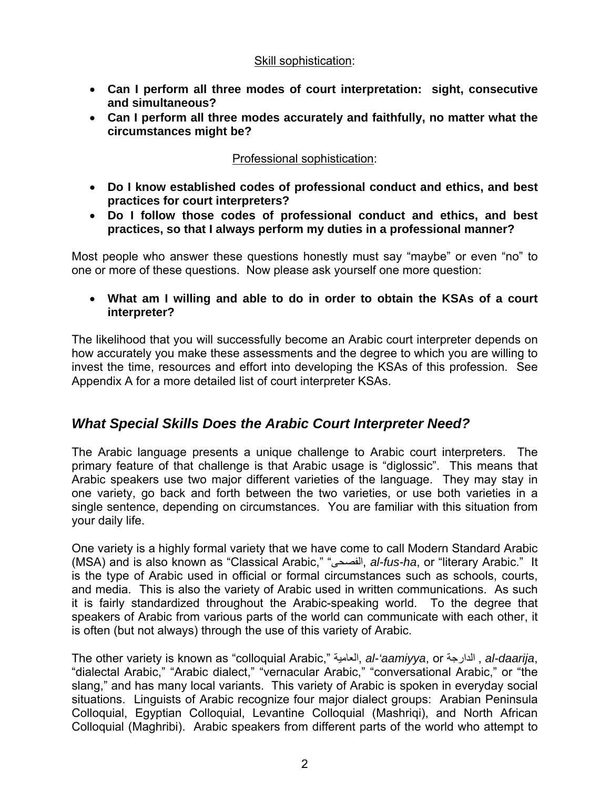#### Skill sophistication:

- **Can I perform all three modes of court interpretation: sight, consecutive and simultaneous?**
- **Can I perform all three modes accurately and faithfully, no matter what the circumstances might be?**

#### Professional sophistication:

- **Do I know established codes of professional conduct and ethics, and best practices for court interpreters?**
- **Do I follow those codes of professional conduct and ethics, and best practices, so that I always perform my duties in a professional manner?**

Most people who answer these questions honestly must say "maybe" or even "no" to one or more of these questions. Now please ask yourself one more question:

• **What am I willing and able to do in order to obtain the KSAs of a court interpreter?** 

The likelihood that you will successfully become an Arabic court interpreter depends on how accurately you make these assessments and the degree to which you are willing to invest the time, resources and effort into developing the KSAs of this profession. See Appendix A for a more detailed list of court interpreter KSAs.

# *What Special Skills Does the Arabic Court Interpreter Need?*

The Arabic language presents a unique challenge to Arabic court interpreters. The primary feature of that challenge is that Arabic usage is "diglossic". This means that Arabic speakers use two major different varieties of the language. They may stay in one variety, go back and forth between the two varieties, or use both varieties in a single sentence, depending on circumstances. You are familiar with this situation from your daily life.

One variety is a highly formal variety that we have come to call Modern Standard Arabic (MSA) and is also known as "Classical Arabic," "الفصحى, *al-fus-ha*, or "literary Arabic." It is the type of Arabic used in official or formal circumstances such as schools, courts, and media. This is also the variety of Arabic used in written communications. As such it is fairly standardized throughout the Arabic-speaking world. To the degree that speakers of Arabic from various parts of the world can communicate with each other, it is often (but not always) through the use of this variety of Arabic.

The other variety is known as "colloquial Arabic," العامية, *al-'aamiyya*, or الدارجة , *al-daarija*, "dialectal Arabic," "Arabic dialect," "vernacular Arabic," "conversational Arabic," or "the slang," and has many local variants. This variety of Arabic is spoken in everyday social situations. Linguists of Arabic recognize four major dialect groups: Arabian Peninsula Colloquial, Egyptian Colloquial, Levantine Colloquial (Mashriqi), and North African Colloquial (Maghribi). Arabic speakers from different parts of the world who attempt to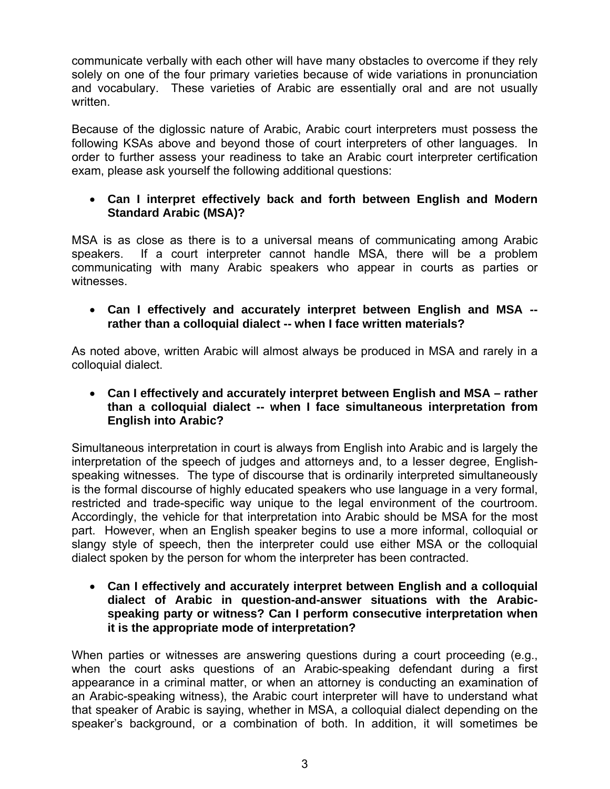communicate verbally with each other will have many obstacles to overcome if they rely solely on one of the four primary varieties because of wide variations in pronunciation and vocabulary. These varieties of Arabic are essentially oral and are not usually written.

Because of the diglossic nature of Arabic, Arabic court interpreters must possess the following KSAs above and beyond those of court interpreters of other languages. In order to further assess your readiness to take an Arabic court interpreter certification exam, please ask yourself the following additional questions:

#### • **Can I interpret effectively back and forth between English and Modern Standard Arabic (MSA)?**

MSA is as close as there is to a universal means of communicating among Arabic speakers. If a court interpreter cannot handle MSA, there will be a problem communicating with many Arabic speakers who appear in courts as parties or witnesses.

• **Can I effectively and accurately interpret between English and MSA - rather than a colloquial dialect -- when I face written materials?** 

As noted above, written Arabic will almost always be produced in MSA and rarely in a colloquial dialect.

• **Can I effectively and accurately interpret between English and MSA – rather than a colloquial dialect -- when I face simultaneous interpretation from English into Arabic?** 

Simultaneous interpretation in court is always from English into Arabic and is largely the interpretation of the speech of judges and attorneys and, to a lesser degree, Englishspeaking witnesses. The type of discourse that is ordinarily interpreted simultaneously is the formal discourse of highly educated speakers who use language in a very formal, restricted and trade-specific way unique to the legal environment of the courtroom. Accordingly, the vehicle for that interpretation into Arabic should be MSA for the most part. However, when an English speaker begins to use a more informal, colloquial or slangy style of speech, then the interpreter could use either MSA or the colloquial dialect spoken by the person for whom the interpreter has been contracted.

• **Can I effectively and accurately interpret between English and a colloquial dialect of Arabic in question-and-answer situations with the Arabicspeaking party or witness? Can I perform consecutive interpretation when it is the appropriate mode of interpretation?** 

When parties or witnesses are answering questions during a court proceeding (e.g., when the court asks questions of an Arabic-speaking defendant during a first appearance in a criminal matter, or when an attorney is conducting an examination of an Arabic-speaking witness), the Arabic court interpreter will have to understand what that speaker of Arabic is saying, whether in MSA, a colloquial dialect depending on the speaker's background, or a combination of both. In addition, it will sometimes be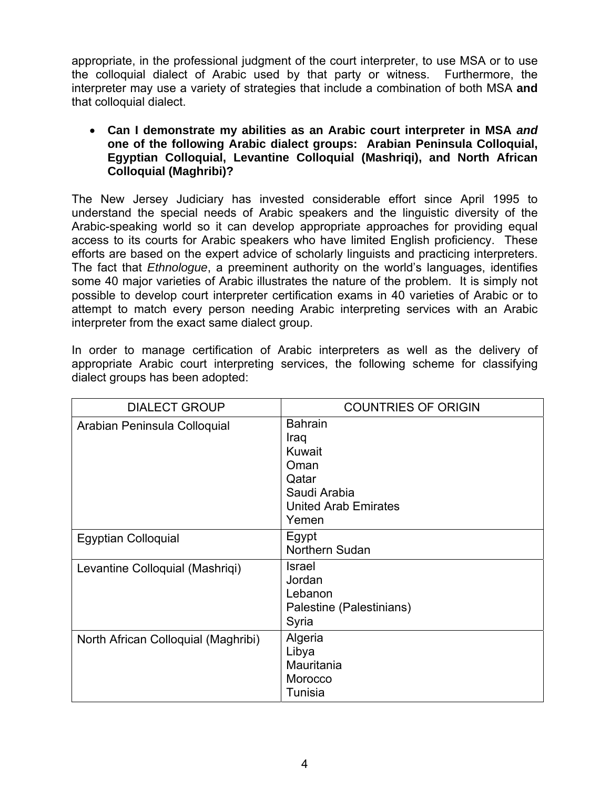appropriate, in the professional judgment of the court interpreter, to use MSA or to use the colloquial dialect of Arabic used by that party or witness. Furthermore, the interpreter may use a variety of strategies that include a combination of both MSA **and** that colloquial dialect.

• **Can I demonstrate my abilities as an Arabic court interpreter in MSA** *and* **one of the following Arabic dialect groups: Arabian Peninsula Colloquial, Egyptian Colloquial, Levantine Colloquial (Mashriqi), and North African Colloquial (Maghribi)?**

The New Jersey Judiciary has invested considerable effort since April 1995 to understand the special needs of Arabic speakers and the linguistic diversity of the Arabic-speaking world so it can develop appropriate approaches for providing equal access to its courts for Arabic speakers who have limited English proficiency. These efforts are based on the expert advice of scholarly linguists and practicing interpreters. The fact that *Ethnologue*, a preeminent authority on the world's languages, identifies some 40 major varieties of Arabic illustrates the nature of the problem. It is simply not possible to develop court interpreter certification exams in 40 varieties of Arabic or to attempt to match every person needing Arabic interpreting services with an Arabic interpreter from the exact same dialect group.

In order to manage certification of Arabic interpreters as well as the delivery of appropriate Arabic court interpreting services, the following scheme for classifying dialect groups has been adopted:

| <b>DIALECT GROUP</b>                | <b>COUNTRIES OF ORIGIN</b>                                                                                |
|-------------------------------------|-----------------------------------------------------------------------------------------------------------|
| Arabian Peninsula Colloquial        | <b>Bahrain</b><br>Iraq<br>Kuwait<br>Oman<br>Qatar<br>Saudi Arabia<br><b>United Arab Emirates</b><br>Yemen |
| <b>Egyptian Colloquial</b>          | Egypt<br>Northern Sudan                                                                                   |
| Levantine Colloquial (Mashriqi)     | <b>Israel</b><br>Jordan<br>Lebanon<br>Palestine (Palestinians)<br>Syria                                   |
| North African Colloquial (Maghribi) | Algeria<br>Libya<br>Mauritania<br>Morocco<br>Tunisia                                                      |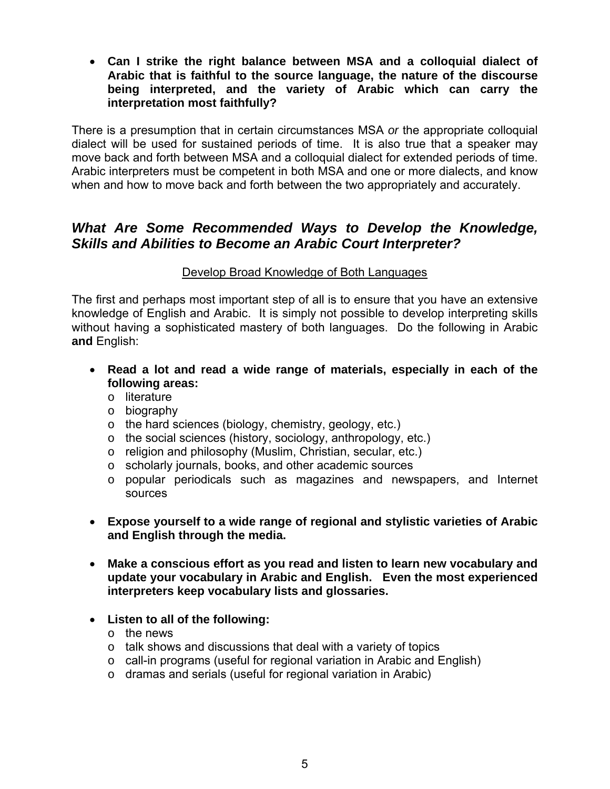• **Can I strike the right balance between MSA and a colloquial dialect of Arabic that is faithful to the source language, the nature of the discourse being interpreted, and the variety of Arabic which can carry the interpretation most faithfully?** 

There is a presumption that in certain circumstances MSA *or* the appropriate colloquial dialect will be used for sustained periods of time. It is also true that a speaker may move back and forth between MSA and a colloquial dialect for extended periods of time. Arabic interpreters must be competent in both MSA and one or more dialects, and know when and how to move back and forth between the two appropriately and accurately.

# *What Are Some Recommended Ways to Develop the Knowledge, Skills and Abilities to Become an Arabic Court Interpreter?*

#### Develop Broad Knowledge of Both Languages

The first and perhaps most important step of all is to ensure that you have an extensive knowledge of English and Arabic. It is simply not possible to develop interpreting skills without having a sophisticated mastery of both languages. Do the following in Arabic **and** English:

- **Read a lot and read a wide range of materials, especially in each of the following areas:** 
	- o literature
	- o biography
	- o the hard sciences (biology, chemistry, geology, etc.)
	- o the social sciences (history, sociology, anthropology, etc.)
	- o religion and philosophy (Muslim, Christian, secular, etc.)
	- o scholarly journals, books, and other academic sources
	- o popular periodicals such as magazines and newspapers, and Internet sources
- **Expose yourself to a wide range of regional and stylistic varieties of Arabic and English through the media.**
- **Make a conscious effort as you read and listen to learn new vocabulary and update your vocabulary in Arabic and English. Even the most experienced interpreters keep vocabulary lists and glossaries.**
- **Listen to all of the following:** 
	- o the news
	- o talk shows and discussions that deal with a variety of topics
	- $\circ$  call-in programs (useful for regional variation in Arabic and English)
	- o dramas and serials (useful for regional variation in Arabic)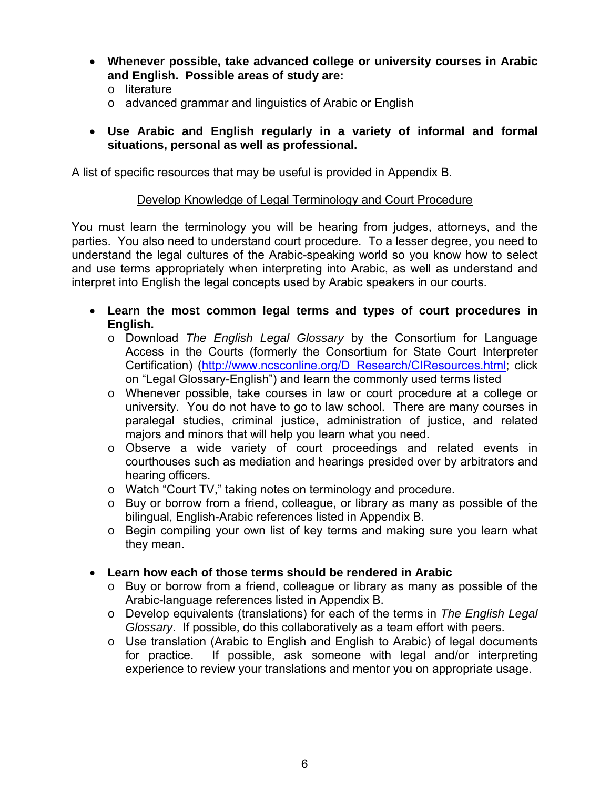- **Whenever possible, take advanced college or university courses in Arabic and English. Possible areas of study are:** 
	- o literature
	- o advanced grammar and linguistics of Arabic or English
- **Use Arabic and English regularly in a variety of informal and formal situations, personal as well as professional.**

A list of specific resources that may be useful is provided in Appendix B.

#### Develop Knowledge of Legal Terminology and Court Procedure

You must learn the terminology you will be hearing from judges, attorneys, and the parties. You also need to understand court procedure. To a lesser degree, you need to understand the legal cultures of the Arabic-speaking world so you know how to select and use terms appropriately when interpreting into Arabic, as well as understand and interpret into English the legal concepts used by Arabic speakers in our courts.

- **Learn the most common legal terms and types of court procedures in English.** 
	- o Download *The English Legal Glossary* by the Consortium for Language Access in the Courts (formerly the Consortium for State Court Interpreter Certification) (http://www.ncsconline.org/D\_Research/CIResources.html; click on "Legal Glossary-English") and learn the commonly used terms listed
	- o Whenever possible, take courses in law or court procedure at a college or university. You do not have to go to law school. There are many courses in paralegal studies, criminal justice, administration of justice, and related majors and minors that will help you learn what you need.
	- o Observe a wide variety of court proceedings and related events in courthouses such as mediation and hearings presided over by arbitrators and hearing officers.
	- o Watch "Court TV," taking notes on terminology and procedure.
	- $\circ$  Buy or borrow from a friend, colleague, or library as many as possible of the bilingual, English-Arabic references listed in Appendix B.
	- o Begin compiling your own list of key terms and making sure you learn what they mean.
- **Learn how each of those terms should be rendered in Arabic** 
	- o Buy or borrow from a friend, colleague or library as many as possible of the Arabic-language references listed in Appendix B.
	- o Develop equivalents (translations) for each of the terms in *The English Legal Glossary*. If possible, do this collaboratively as a team effort with peers.
	- o Use translation (Arabic to English and English to Arabic) of legal documents for practice. If possible, ask someone with legal and/or interpreting experience to review your translations and mentor you on appropriate usage.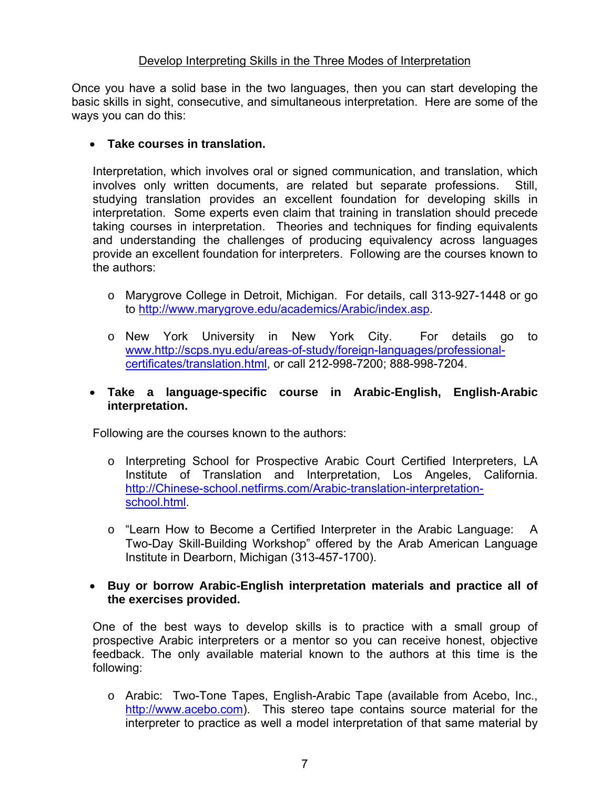Once you have a solid base in the two languages, then you can start developing the basic skills in sight, consecutive, and simultaneous interpretation. Here are some of the ways you can do this:

#### • **Take courses in translation.**

Interpretation, which involves oral or signed communication, and translation, which involves only written documents, are related but separate professions. Still, studying translation provides an excellent foundation for developing skills in interpretation. Some experts even claim that training in translation should precede taking courses in interpretation. Theories and techniques for finding equivalents and understanding the challenges of producing equivalency across languages provide an excellent foundation for interpreters. Following are the courses known to the authors:

- o Marygrove College in Detroit, Michigan. For details, call 313-927-1448 or go to http://www.marygrove.edu/academics/Arabic/index.asp.
- o New York University in New York City. For details go to www.http://scps.nyu.edu/areas-of-study/foreign-languages/professionalcertificates/translation.html, or call 212-998-7200; 888-998-7204.

#### • **Take a language-specific course in Arabic-English, English-Arabic interpretation.**

Following are the courses known to the authors:

- o Interpreting School for Prospective Arabic Court Certified Interpreters, LA Institute of Translation and Interpretation, Los Angeles, California. http://Chinese-school.netfirms.com/Arabic-translation-interpretationschool.html.
- o "Learn How to Become a Certified Interpreter in the Arabic Language: A Two-Day Skill-Building Workshop" offered by the Arab American Language Institute in Dearborn, Michigan (313-457-1700).

#### • **Buy or borrow Arabic-English interpretation materials and practice all of the exercises provided.**

One of the best ways to develop skills is to practice with a small group of prospective Arabic interpreters or a mentor so you can receive honest, objective feedback. The only available material known to the authors at this time is the following:

o Arabic: Two-Tone Tapes, English-Arabic Tape (available from Acebo, Inc., http://www.acebo.com). This stereo tape contains source material for the interpreter to practice as well a model interpretation of that same material by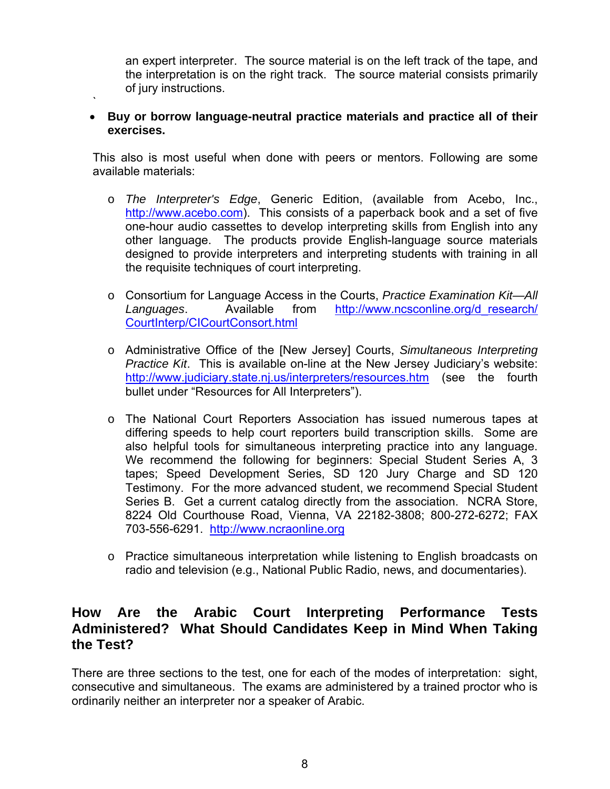an expert interpreter. The source material is on the left track of the tape, and the interpretation is on the right track. The source material consists primarily of jury instructions.

• **Buy or borrow language-neutral practice materials and practice all of their exercises.** 

`

This also is most useful when done with peers or mentors. Following are some available materials:

- o *The Interpreter's Edge*, Generic Edition, (available from Acebo, Inc., http://www.acebo.com). This consists of a paperback book and a set of five one-hour audio cassettes to develop interpreting skills from English into any other language. The products provide English-language source materials designed to provide interpreters and interpreting students with training in all the requisite techniques of court interpreting.
- o Consortium for Language Access in the Courts, *Practice Examination Kit—All*  Languages. Available from http://www.ncsconline.org/d\_research/ CourtInterp/CICourtConsort.html
- o Administrative Office of the [New Jersey] Courts, *Simultaneous Interpreting Practice Kit*. This is available on-line at the New Jersey Judiciary's website: http://www.judiciary.state.nj.us/interpreters/resources.htm (see the fourth bullet under "Resources for All Interpreters").
- o The National Court Reporters Association has issued numerous tapes at differing speeds to help court reporters build transcription skills. Some are also helpful tools for simultaneous interpreting practice into any language. We recommend the following for beginners: Special Student Series A, 3 tapes; Speed Development Series, SD 120 Jury Charge and SD 120 Testimony. For the more advanced student, we recommend Special Student Series B. Get a current catalog directly from the association. NCRA Store, 8224 Old Courthouse Road, Vienna, VA 22182-3808; 800-272-6272; FAX 703-556-6291. http://www.ncraonline.org
- o Practice simultaneous interpretation while listening to English broadcasts on radio and television (e.g., National Public Radio, news, and documentaries).

# **How Are the Arabic Court Interpreting Performance Tests Administered? What Should Candidates Keep in Mind When Taking the Test?**

There are three sections to the test, one for each of the modes of interpretation: sight, consecutive and simultaneous. The exams are administered by a trained proctor who is ordinarily neither an interpreter nor a speaker of Arabic.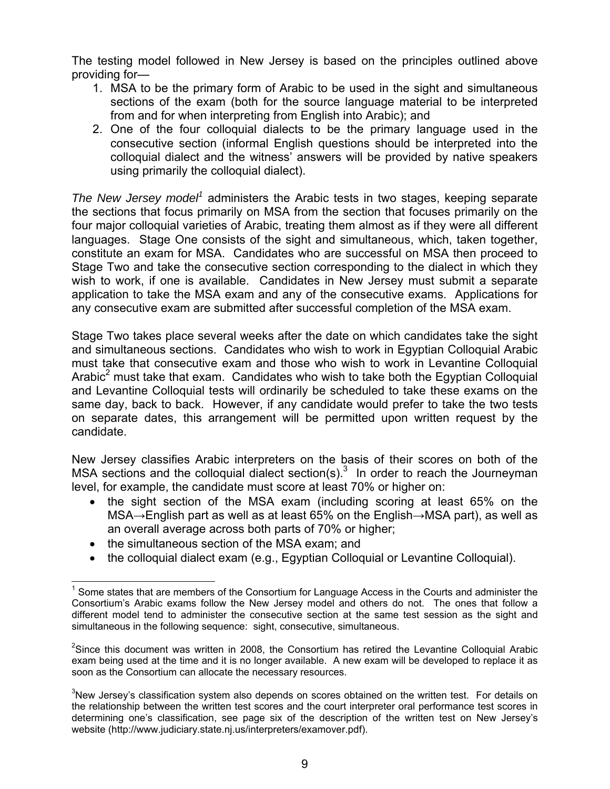The testing model followed in New Jersey is based on the principles outlined above providing for—

- 1. MSA to be the primary form of Arabic to be used in the sight and simultaneous sections of the exam (both for the source language material to be interpreted from and for when interpreting from English into Arabic); and
- 2. One of the four colloquial dialects to be the primary language used in the consecutive section (informal English questions should be interpreted into the colloquial dialect and the witness' answers will be provided by native speakers using primarily the colloquial dialect).

The New Jersey model<sup>1</sup> administers the Arabic tests in two stages, keeping separate the sections that focus primarily on MSA from the section that focuses primarily on the four major colloquial varieties of Arabic, treating them almost as if they were all different languages. Stage One consists of the sight and simultaneous, which, taken together, constitute an exam for MSA. Candidates who are successful on MSA then proceed to Stage Two and take the consecutive section corresponding to the dialect in which they wish to work, if one is available. Candidates in New Jersey must submit a separate application to take the MSA exam and any of the consecutive exams. Applications for any consecutive exam are submitted after successful completion of the MSA exam.

Stage Two takes place several weeks after the date on which candidates take the sight and simultaneous sections. Candidates who wish to work in Egyptian Colloquial Arabic must take that consecutive exam and those who wish to work in Levantine Colloquial Arabic<sup>2</sup> must take that exam. Candidates who wish to take both the Egyptian Colloquial and Levantine Colloquial tests will ordinarily be scheduled to take these exams on the same day, back to back. However, if any candidate would prefer to take the two tests on separate dates, this arrangement will be permitted upon written request by the candidate.

New Jersey classifies Arabic interpreters on the basis of their scores on both of the MSA sections and the colloquial dialect section(s).<sup>3</sup> In order to reach the Journeyman level, for example, the candidate must score at least 70% or higher on:

- the sight section of the MSA exam (including scoring at least 65% on the MSA→English part as well as at least 65% on the English→MSA part), as well as an overall average across both parts of 70% or higher;
- the simultaneous section of the MSA exam; and
- the colloquial dialect exam (e.g., Egyptian Colloquial or Levantine Colloquial).

l  $1$  Some states that are members of the Consortium for Language Access in the Courts and administer the Consortium's Arabic exams follow the New Jersey model and others do not. The ones that follow a different model tend to administer the consecutive section at the same test session as the sight and simultaneous in the following sequence: sight, consecutive, simultaneous.

<sup>&</sup>lt;sup>2</sup>Since this document was written in 2008, the Consortium has retired the Levantine Colloquial Arabic exam being used at the time and it is no longer available. A new exam will be developed to replace it as soon as the Consortium can allocate the necessary resources.

 $3$ New Jersey's classification system also depends on scores obtained on the written test. For details on the relationship between the written test scores and the court interpreter oral performance test scores in determining one's classification, see page six of the description of the written test on New Jersey's website (http://www.judiciary.state.nj.us/interpreters/examover.pdf).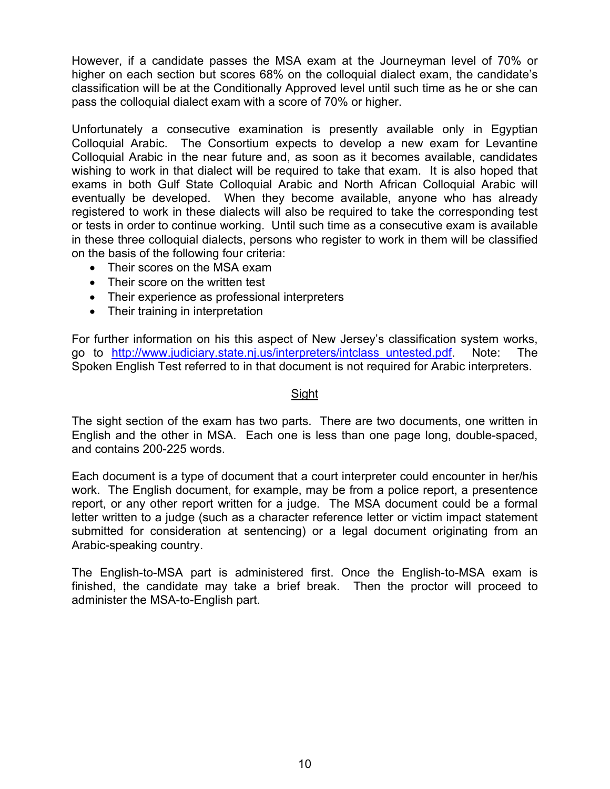However, if a candidate passes the MSA exam at the Journeyman level of 70% or higher on each section but scores 68% on the colloquial dialect exam, the candidate's classification will be at the Conditionally Approved level until such time as he or she can pass the colloquial dialect exam with a score of 70% or higher.

Unfortunately a consecutive examination is presently available only in Egyptian Colloquial Arabic. The Consortium expects to develop a new exam for Levantine Colloquial Arabic in the near future and, as soon as it becomes available, candidates wishing to work in that dialect will be required to take that exam. It is also hoped that exams in both Gulf State Colloquial Arabic and North African Colloquial Arabic will eventually be developed. When they become available, anyone who has already registered to work in these dialects will also be required to take the corresponding test or tests in order to continue working. Until such time as a consecutive exam is available in these three colloquial dialects, persons who register to work in them will be classified on the basis of the following four criteria:

- Their scores on the MSA exam
- Their score on the written test
- Their experience as professional interpreters
- Their training in interpretation

For further information on his this aspect of New Jersey's classification system works, go to http://www.judiciary.state.nj.us/interpreters/intclass\_untested.pdf. Note: The Spoken English Test referred to in that document is not required for Arabic interpreters.

#### Sight

The sight section of the exam has two parts. There are two documents, one written in English and the other in MSA. Each one is less than one page long, double-spaced, and contains 200-225 words.

Each document is a type of document that a court interpreter could encounter in her/his work. The English document, for example, may be from a police report, a presentence report, or any other report written for a judge. The MSA document could be a formal letter written to a judge (such as a character reference letter or victim impact statement submitted for consideration at sentencing) or a legal document originating from an Arabic-speaking country.

The English-to-MSA part is administered first. Once the English-to-MSA exam is finished, the candidate may take a brief break. Then the proctor will proceed to administer the MSA-to-English part.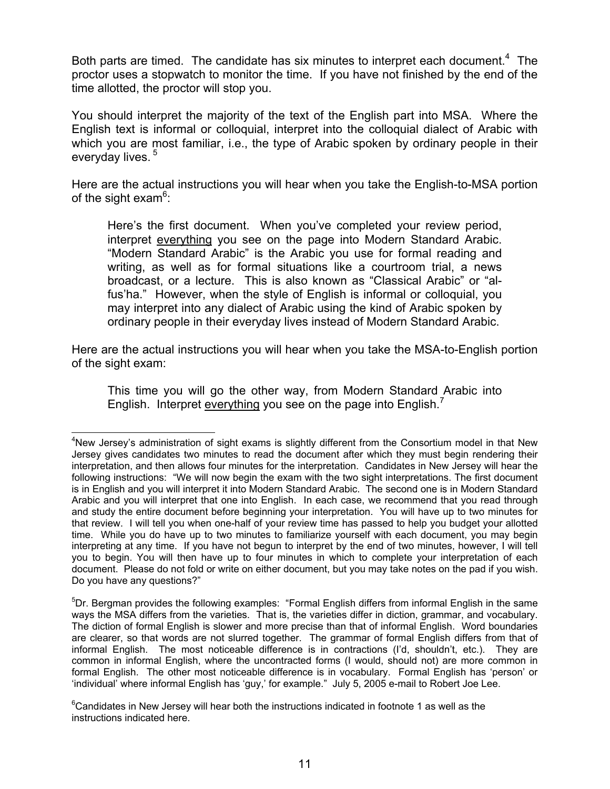Both parts are timed. The candidate has six minutes to interpret each document.<sup>4</sup> The proctor uses a stopwatch to monitor the time. If you have not finished by the end of the time allotted, the proctor will stop you.

You should interpret the majority of the text of the English part into MSA. Where the English text is informal or colloquial, interpret into the colloquial dialect of Arabic with which you are most familiar, i.e., the type of Arabic spoken by ordinary people in their everyday lives.<sup>5</sup>

Here are the actual instructions you will hear when you take the English-to-MSA portion of the sight exam $6$ :

Here's the first document. When you've completed your review period, interpret everything you see on the page into Modern Standard Arabic. "Modern Standard Arabic" is the Arabic you use for formal reading and writing, as well as for formal situations like a courtroom trial, a news broadcast, or a lecture. This is also known as "Classical Arabic" or "alfus'ha." However, when the style of English is informal or colloquial, you may interpret into any dialect of Arabic using the kind of Arabic spoken by ordinary people in their everyday lives instead of Modern Standard Arabic.

Here are the actual instructions you will hear when you take the MSA-to-English portion of the sight exam:

This time you will go the other way, from Modern Standard Arabic into English. Interpret everything you see on the page into English.<sup> $\prime$ </sup>

<sup>&</sup>lt;sup>4</sup>New Jersey's administration of sight exams is slightly different from the Consortium model in that New Jersey gives candidates two minutes to read the document after which they must begin rendering their interpretation, and then allows four minutes for the interpretation. Candidates in New Jersey will hear the following instructions: "We will now begin the exam with the two sight interpretations. The first document is in English and you will interpret it into Modern Standard Arabic. The second one is in Modern Standard Arabic and you will interpret that one into English. In each case, we recommend that you read through and study the entire document before beginning your interpretation. You will have up to two minutes for that review. I will tell you when one-half of your review time has passed to help you budget your allotted time. While you do have up to two minutes to familiarize yourself with each document, you may begin interpreting at any time. If you have not begun to interpret by the end of two minutes, however, I will tell you to begin. You will then have up to four minutes in which to complete your interpretation of each document. Please do not fold or write on either document, but you may take notes on the pad if you wish. Do you have any questions?"

<sup>&</sup>lt;sup>5</sup>Dr. Bergman provides the following examples: "Formal English differs from informal English in the same ways the MSA differs from the varieties. That is, the varieties differ in diction, grammar, and vocabulary. The diction of formal English is slower and more precise than that of informal English. Word boundaries are clearer, so that words are not slurred together. The grammar of formal English differs from that of informal English. The most noticeable difference is in contractions (I'd, shouldn't, etc.). They are common in informal English, where the uncontracted forms (I would, should not) are more common in formal English. The other most noticeable difference is in vocabulary. Formal English has 'person' or 'individual' where informal English has 'guy,' for example." July 5, 2005 e-mail to Robert Joe Lee.

 ${}^6$ Candidates in New Jersey will hear both the instructions indicated in footnote 1 as well as the instructions indicated here.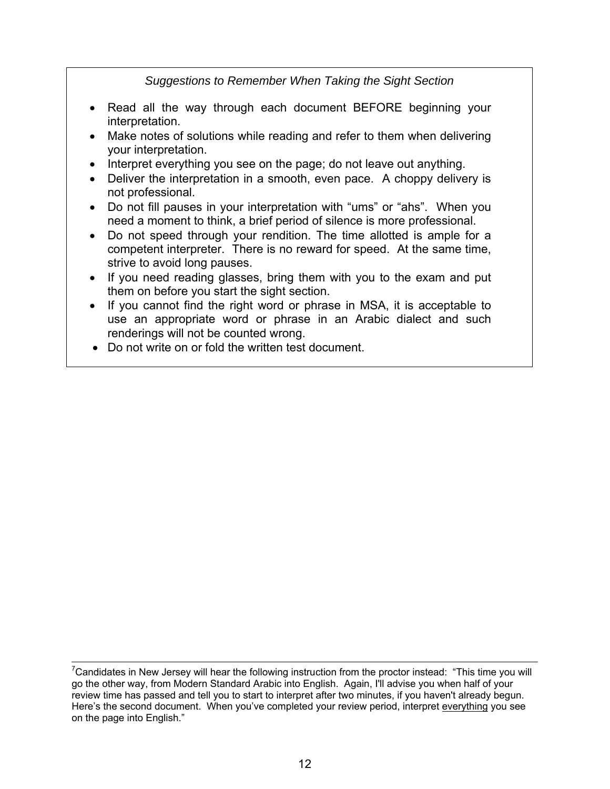#### *Suggestions to Remember When Taking the Sight Section*

- Read all the way through each document BEFORE beginning your interpretation.
- Make notes of solutions while reading and refer to them when delivering your interpretation.
- Interpret everything you see on the page; do not leave out anything.
- Deliver the interpretation in a smooth, even pace. A choppy delivery is not professional.
- Do not fill pauses in your interpretation with "ums" or "ahs". When you need a moment to think, a brief period of silence is more professional.
- Do not speed through your rendition. The time allotted is ample for a competent interpreter. There is no reward for speed. At the same time, strive to avoid long pauses.
- If you need reading glasses, bring them with you to the exam and put them on before you start the sight section.
- If you cannot find the right word or phrase in MSA, it is acceptable to use an appropriate word or phrase in an Arabic dialect and such renderings will not be counted wrong.
- Do not write on or fold the written test document.

<sup>&</sup>lt;sup>7</sup><br>Candidates in New Jersey will hear the following instruction from the proctor instead: "This time you will go the other way, from Modern Standard Arabic into English. Again, I'll advise you when half of your review time has passed and tell you to start to interpret after two minutes, if you haven't already begun. Here's the second document. When you've completed your review period, interpret everything you see on the page into English."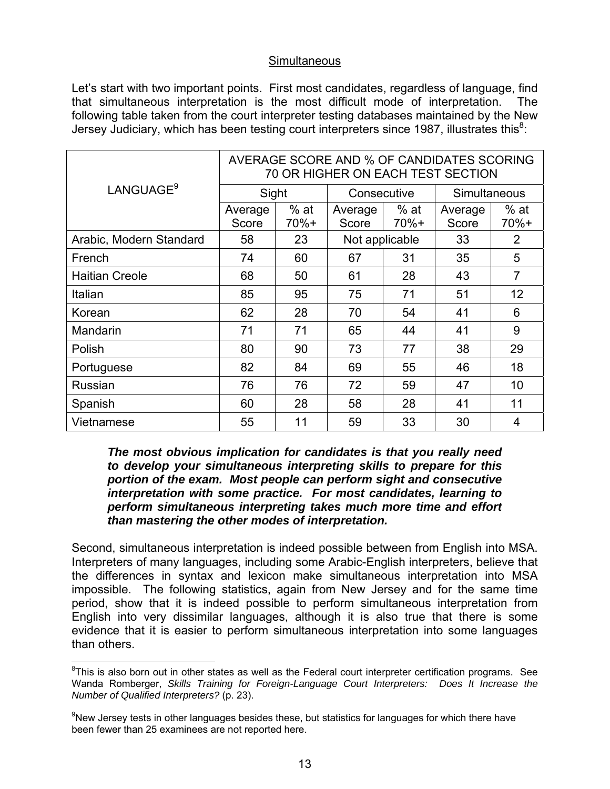#### **Simultaneous**

Let's start with two important points. First most candidates, regardless of language, find that simultaneous interpretation is the most difficult mode of interpretation. The following table taken from the court interpreter testing databases maintained by the New Jersey Judiciary, which has been testing court interpreters since 1987, illustrates this $8$ .

|                         | AVERAGE SCORE AND % OF CANDIDATES SCORING<br>70 OR HIGHER ON EACH TEST SECTION |                  |                  |                  |                  |                  |
|-------------------------|--------------------------------------------------------------------------------|------------------|------------------|------------------|------------------|------------------|
| LANGUAGE <sup>9</sup>   | Sight                                                                          |                  | Consecutive      |                  | Simultaneous     |                  |
|                         | Average<br>Score                                                               | $%$ at<br>$70%+$ | Average<br>Score | $%$ at<br>$70%+$ | Average<br>Score | $%$ at<br>$70%+$ |
| Arabic, Modern Standard | 58                                                                             | 23               | Not applicable   |                  | 33               | 2                |
| French                  | 74                                                                             | 60               | 67               | 31               | 35               | 5                |
| <b>Haitian Creole</b>   | 68                                                                             | 50               | 61               | 28               | 43               | $\overline{7}$   |
| Italian                 | 85                                                                             | 95               | 75               | 71               | 51               | 12               |
| Korean                  | 62                                                                             | 28               | 70               | 54               | 41               | 6                |
| <b>Mandarin</b>         | 71                                                                             | 71               | 65               | 44               | 41               | 9                |
| Polish                  | 80                                                                             | 90               | 73               | 77               | 38               | 29               |
| Portuguese              | 82                                                                             | 84               | 69               | 55               | 46               | 18               |
| Russian                 | 76                                                                             | 76               | 72               | 59               | 47               | 10               |
| Spanish                 | 60                                                                             | 28               | 58               | 28               | 41               | 11               |
| Vietnamese              | 55                                                                             | 11               | 59               | 33               | 30               | 4                |

*The most obvious implication for candidates is that you really need to develop your simultaneous interpreting skills to prepare for this portion of the exam. Most people can perform sight and consecutive interpretation with some practice. For most candidates, learning to perform simultaneous interpreting takes much more time and effort than mastering the other modes of interpretation.* 

Second, simultaneous interpretation is indeed possible between from English into MSA. Interpreters of many languages, including some Arabic-English interpreters, believe that the differences in syntax and lexicon make simultaneous interpretation into MSA impossible. The following statistics, again from New Jersey and for the same time period, show that it is indeed possible to perform simultaneous interpretation from English into very dissimilar languages, although it is also true that there is some evidence that it is easier to perform simultaneous interpretation into some languages than others.

l  ${}^{8}$ This is also born out in other states as well as the Federal court interpreter certification programs. See Wanda Romberger, *Skills Training for Foreign-Language Court Interpreters: Does It Increase the Number of Qualified Interpreters?* (p. 23).

 $9$ New Jersey tests in other languages besides these, but statistics for languages for which there have been fewer than 25 examinees are not reported here.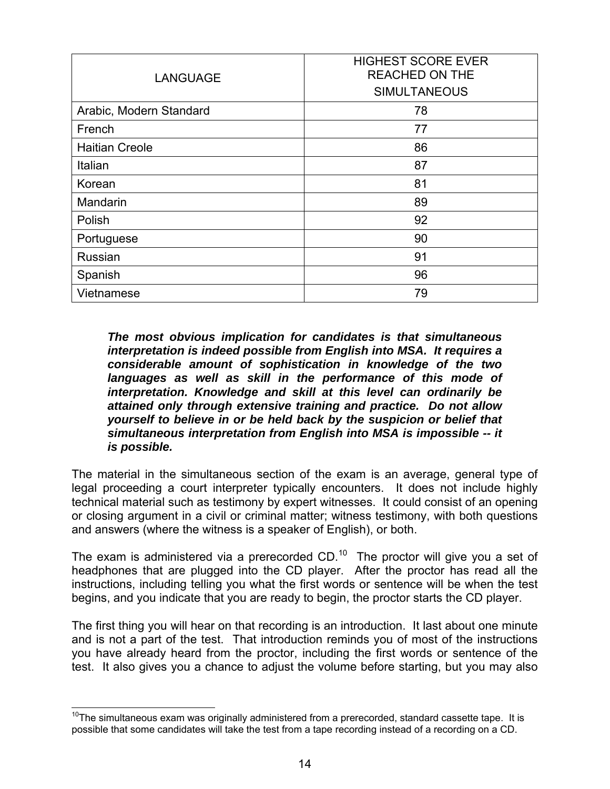| <b>LANGUAGE</b>         | <b>HIGHEST SCORE EVER</b><br><b>REACHED ON THE</b><br><b>SIMULTANEOUS</b> |
|-------------------------|---------------------------------------------------------------------------|
| Arabic, Modern Standard | 78                                                                        |
| French                  | 77                                                                        |
| <b>Haitian Creole</b>   | 86                                                                        |
| Italian                 | 87                                                                        |
| Korean                  | 81                                                                        |
| Mandarin                | 89                                                                        |
| Polish                  | 92                                                                        |
| Portuguese              | 90                                                                        |
| Russian                 | 91                                                                        |
| Spanish                 | 96                                                                        |
| Vietnamese              | 79                                                                        |

*The most obvious implication for candidates is that simultaneous interpretation is indeed possible from English into MSA. It requires a considerable amount of sophistication in knowledge of the two languages as well as skill in the performance of this mode of interpretation. Knowledge and skill at this level can ordinarily be attained only through extensive training and practice. Do not allow yourself to believe in or be held back by the suspicion or belief that simultaneous interpretation from English into MSA is impossible -- it is possible.* 

The material in the simultaneous section of the exam is an average, general type of legal proceeding a court interpreter typically encounters. It does not include highly technical material such as testimony by expert witnesses. It could consist of an opening or closing argument in a civil or criminal matter; witness testimony, with both questions and answers (where the witness is a speaker of English), or both.

The exam is administered via a prerecorded CD.<sup>10</sup> The proctor will give you a set of headphones that are plugged into the CD player. After the proctor has read all the instructions, including telling you what the first words or sentence will be when the test begins, and you indicate that you are ready to begin, the proctor starts the CD player.

The first thing you will hear on that recording is an introduction. It last about one minute and is not a part of the test. That introduction reminds you of most of the instructions you have already heard from the proctor, including the first words or sentence of the test. It also gives you a chance to adjust the volume before starting, but you may also

 $10$ The simultaneous exam was originally administered from a prerecorded, standard cassette tape. It is possible that some candidates will take the test from a tape recording instead of a recording on a CD.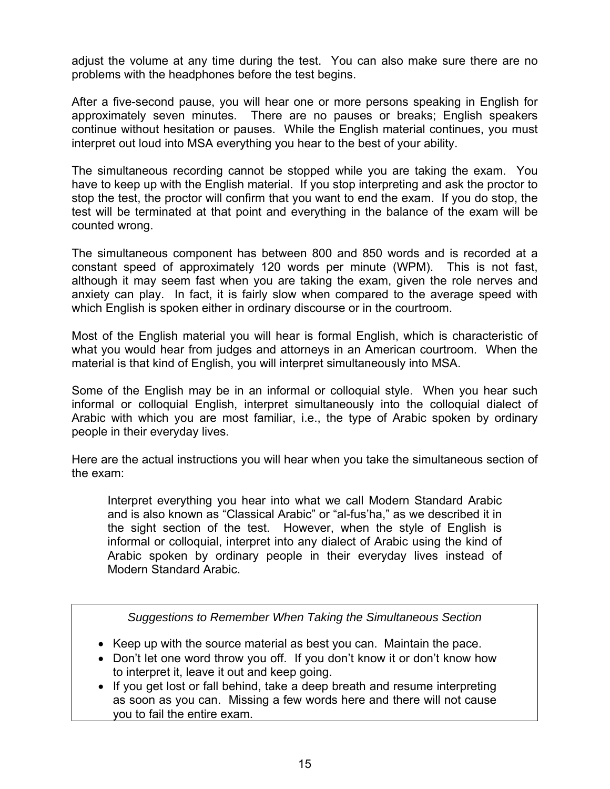adjust the volume at any time during the test. You can also make sure there are no problems with the headphones before the test begins.

After a five-second pause, you will hear one or more persons speaking in English for approximately seven minutes. There are no pauses or breaks; English speakers continue without hesitation or pauses. While the English material continues, you must interpret out loud into MSA everything you hear to the best of your ability.

The simultaneous recording cannot be stopped while you are taking the exam. You have to keep up with the English material. If you stop interpreting and ask the proctor to stop the test, the proctor will confirm that you want to end the exam. If you do stop, the test will be terminated at that point and everything in the balance of the exam will be counted wrong.

The simultaneous component has between 800 and 850 words and is recorded at a constant speed of approximately 120 words per minute (WPM). This is not fast, although it may seem fast when you are taking the exam, given the role nerves and anxiety can play. In fact, it is fairly slow when compared to the average speed with which English is spoken either in ordinary discourse or in the courtroom.

Most of the English material you will hear is formal English, which is characteristic of what you would hear from judges and attorneys in an American courtroom. When the material is that kind of English, you will interpret simultaneously into MSA.

Some of the English may be in an informal or colloquial style. When you hear such informal or colloquial English, interpret simultaneously into the colloquial dialect of Arabic with which you are most familiar, i.e., the type of Arabic spoken by ordinary people in their everyday lives.

Here are the actual instructions you will hear when you take the simultaneous section of the exam:

Interpret everything you hear into what we call Modern Standard Arabic and is also known as "Classical Arabic" or "al-fus'ha," as we described it in the sight section of the test. However, when the style of English is informal or colloquial, interpret into any dialect of Arabic using the kind of Arabic spoken by ordinary people in their everyday lives instead of Modern Standard Arabic.

*Suggestions to Remember When Taking the Simultaneous Section* 

- Keep up with the source material as best you can. Maintain the pace.
- Don't let one word throw you off. If you don't know it or don't know how to interpret it, leave it out and keep going.
- If you get lost or fall behind, take a deep breath and resume interpreting as soon as you can. Missing a few words here and there will not cause you to fail the entire exam.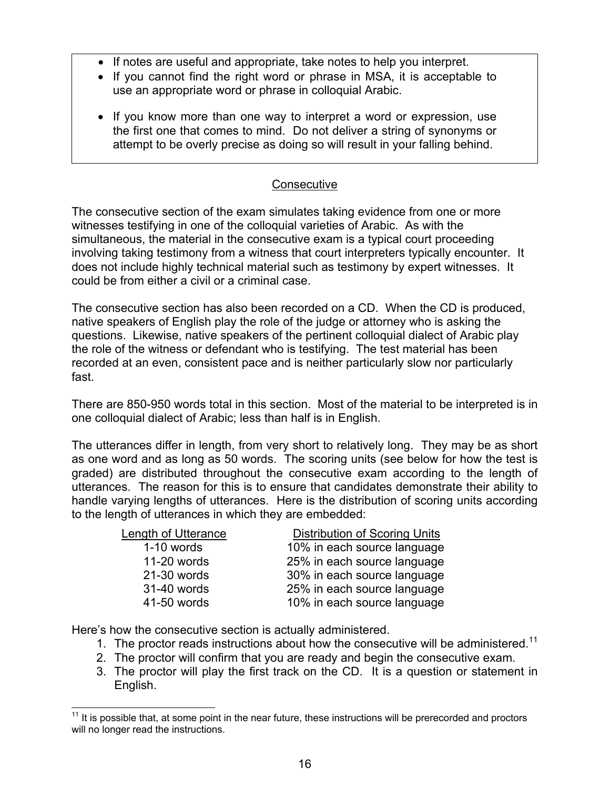- If notes are useful and appropriate, take notes to help you interpret.
- If you cannot find the right word or phrase in MSA, it is acceptable to use an appropriate word or phrase in colloquial Arabic.
- If you know more than one way to interpret a word or expression, use the first one that comes to mind. Do not deliver a string of synonyms or attempt to be overly precise as doing so will result in your falling behind.

#### **Consecutive**

The consecutive section of the exam simulates taking evidence from one or more witnesses testifying in one of the colloquial varieties of Arabic. As with the simultaneous, the material in the consecutive exam is a typical court proceeding involving taking testimony from a witness that court interpreters typically encounter. It does not include highly technical material such as testimony by expert witnesses. It could be from either a civil or a criminal case.

The consecutive section has also been recorded on a CD. When the CD is produced, native speakers of English play the role of the judge or attorney who is asking the questions. Likewise, native speakers of the pertinent colloquial dialect of Arabic play the role of the witness or defendant who is testifying. The test material has been recorded at an even, consistent pace and is neither particularly slow nor particularly fast.

There are 850-950 words total in this section. Most of the material to be interpreted is in one colloquial dialect of Arabic; less than half is in English.

The utterances differ in length, from very short to relatively long. They may be as short as one word and as long as 50 words. The scoring units (see below for how the test is graded) are distributed throughout the consecutive exam according to the length of utterances. The reason for this is to ensure that candidates demonstrate their ability to handle varying lengths of utterances. Here is the distribution of scoring units according to the length of utterances in which they are embedded:

| <b>Length of Utterance</b> | <b>Distribution of Scoring Units</b> |
|----------------------------|--------------------------------------|
| 1-10 words                 | 10% in each source language          |
| 11-20 words                | 25% in each source language          |
| 21-30 words                | 30% in each source language          |
| 31-40 words                | 25% in each source language          |
| 41-50 words                | 10% in each source language          |

Here's how the consecutive section is actually administered.

- 1. The proctor reads instructions about how the consecutive will be administered.<sup>11</sup>
- 2. The proctor will confirm that you are ready and begin the consecutive exam.
- 3. The proctor will play the first track on the CD. It is a question or statement in English.

 $11$  It is possible that, at some point in the near future, these instructions will be prerecorded and proctors will no longer read the instructions.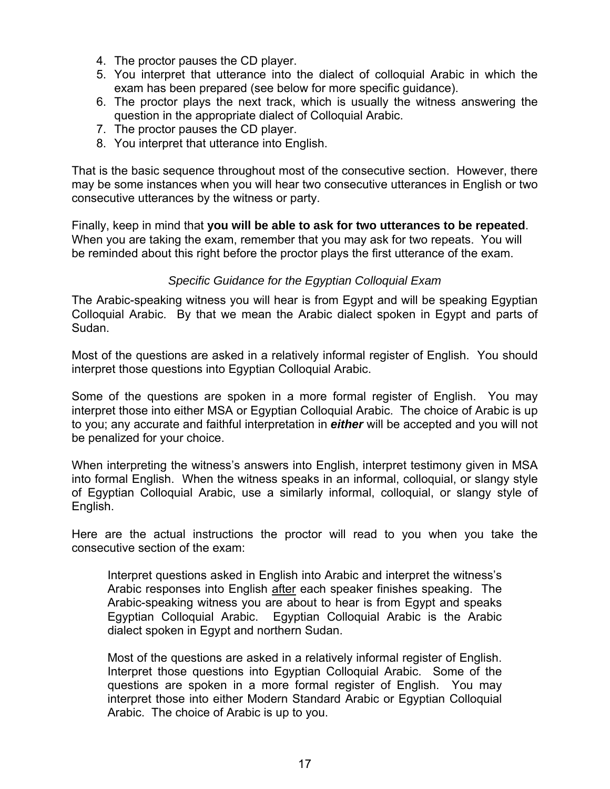- 4. The proctor pauses the CD player.
- 5. You interpret that utterance into the dialect of colloquial Arabic in which the exam has been prepared (see below for more specific guidance).
- 6. The proctor plays the next track, which is usually the witness answering the question in the appropriate dialect of Colloquial Arabic.
- 7. The proctor pauses the CD player.
- 8. You interpret that utterance into English.

That is the basic sequence throughout most of the consecutive section. However, there may be some instances when you will hear two consecutive utterances in English or two consecutive utterances by the witness or party.

Finally, keep in mind that **you will be able to ask for two utterances to be repeated**. When you are taking the exam, remember that you may ask for two repeats. You will be reminded about this right before the proctor plays the first utterance of the exam.

#### *Specific Guidance for the Egyptian Colloquial Exam*

The Arabic-speaking witness you will hear is from Egypt and will be speaking Egyptian Colloquial Arabic. By that we mean the Arabic dialect spoken in Egypt and parts of Sudan.

Most of the questions are asked in a relatively informal register of English. You should interpret those questions into Egyptian Colloquial Arabic.

Some of the questions are spoken in a more formal register of English. You may interpret those into either MSA or Egyptian Colloquial Arabic. The choice of Arabic is up to you; any accurate and faithful interpretation in *either* will be accepted and you will not be penalized for your choice.

When interpreting the witness's answers into English, interpret testimony given in MSA into formal English. When the witness speaks in an informal, colloquial, or slangy style of Egyptian Colloquial Arabic, use a similarly informal, colloquial, or slangy style of English.

Here are the actual instructions the proctor will read to you when you take the consecutive section of the exam:

Interpret questions asked in English into Arabic and interpret the witness's Arabic responses into English after each speaker finishes speaking. The Arabic-speaking witness you are about to hear is from Egypt and speaks Egyptian Colloquial Arabic. Egyptian Colloquial Arabic is the Arabic dialect spoken in Egypt and northern Sudan.

Most of the questions are asked in a relatively informal register of English. Interpret those questions into Egyptian Colloquial Arabic. Some of the questions are spoken in a more formal register of English. You may interpret those into either Modern Standard Arabic or Egyptian Colloquial Arabic. The choice of Arabic is up to you.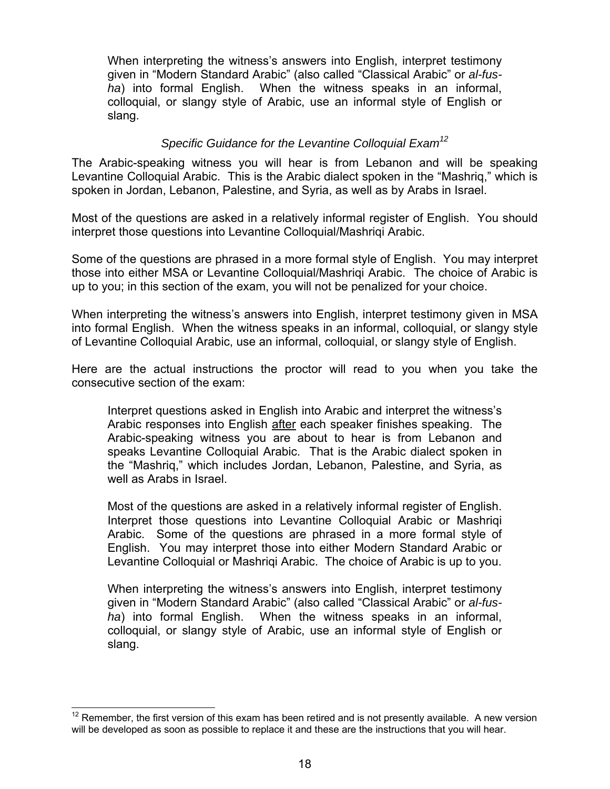When interpreting the witness's answers into English, interpret testimony given in "Modern Standard Arabic" (also called "Classical Arabic" or *al-fusha*) into formal English. When the witness speaks in an informal, colloquial, or slangy style of Arabic, use an informal style of English or slang.

#### *Specific Guidance for the Levantine Colloquial Exam12*

The Arabic-speaking witness you will hear is from Lebanon and will be speaking Levantine Colloquial Arabic. This is the Arabic dialect spoken in the "Mashriq," which is spoken in Jordan, Lebanon, Palestine, and Syria, as well as by Arabs in Israel.

Most of the questions are asked in a relatively informal register of English. You should interpret those questions into Levantine Colloquial/Mashriqi Arabic.

Some of the questions are phrased in a more formal style of English. You may interpret those into either MSA or Levantine Colloquial/Mashriqi Arabic. The choice of Arabic is up to you; in this section of the exam, you will not be penalized for your choice.

When interpreting the witness's answers into English, interpret testimony given in MSA into formal English. When the witness speaks in an informal, colloquial, or slangy style of Levantine Colloquial Arabic, use an informal, colloquial, or slangy style of English.

Here are the actual instructions the proctor will read to you when you take the consecutive section of the exam:

Interpret questions asked in English into Arabic and interpret the witness's Arabic responses into English after each speaker finishes speaking. The Arabic-speaking witness you are about to hear is from Lebanon and speaks Levantine Colloquial Arabic. That is the Arabic dialect spoken in the "Mashriq," which includes Jordan, Lebanon, Palestine, and Syria, as well as Arabs in Israel.

Most of the questions are asked in a relatively informal register of English. Interpret those questions into Levantine Colloquial Arabic or Mashriqi Arabic. Some of the questions are phrased in a more formal style of English. You may interpret those into either Modern Standard Arabic or Levantine Colloquial or Mashriqi Arabic. The choice of Arabic is up to you.

When interpreting the witness's answers into English, interpret testimony given in "Modern Standard Arabic" (also called "Classical Arabic" or *al-fusha*) into formal English. When the witness speaks in an informal, colloquial, or slangy style of Arabic, use an informal style of English or slang.

 $12$  Remember, the first version of this exam has been retired and is not presently available. A new version will be developed as soon as possible to replace it and these are the instructions that you will hear.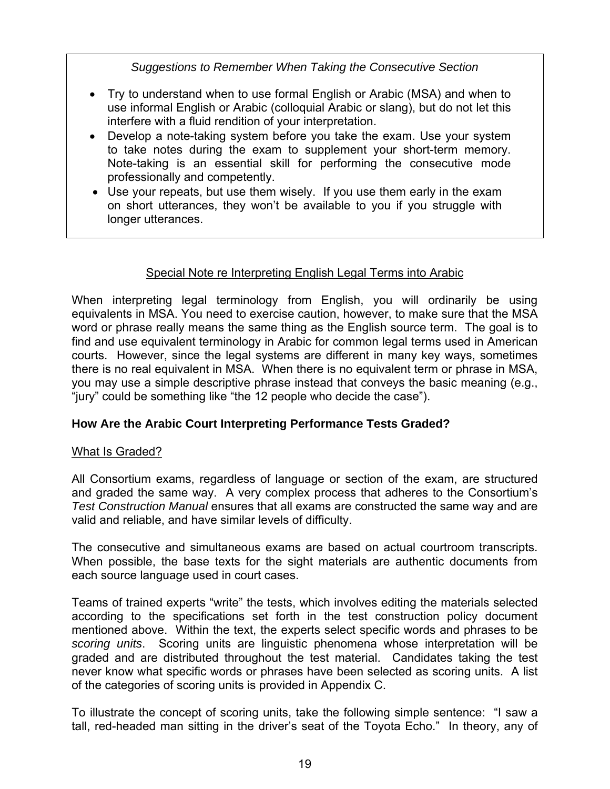#### *Suggestions to Remember When Taking the Consecutive Section*

- Try to understand when to use formal English or Arabic (MSA) and when to use informal English or Arabic (colloquial Arabic or slang), but do not let this interfere with a fluid rendition of your interpretation.
- Develop a note-taking system before you take the exam. Use your system to take notes during the exam to supplement your short-term memory. Note-taking is an essential skill for performing the consecutive mode professionally and competently.
- Use your repeats, but use them wisely. If you use them early in the exam on short utterances, they won't be available to you if you struggle with longer utterances.

#### Special Note re Interpreting English Legal Terms into Arabic

When interpreting legal terminology from English, you will ordinarily be using equivalents in MSA. You need to exercise caution, however, to make sure that the MSA word or phrase really means the same thing as the English source term. The goal is to find and use equivalent terminology in Arabic for common legal terms used in American courts. However, since the legal systems are different in many key ways, sometimes there is no real equivalent in MSA. When there is no equivalent term or phrase in MSA, you may use a simple descriptive phrase instead that conveys the basic meaning (e.g., "jury" could be something like "the 12 people who decide the case").

#### **How Are the Arabic Court Interpreting Performance Tests Graded?**

#### What Is Graded?

All Consortium exams, regardless of language or section of the exam, are structured and graded the same way. A very complex process that adheres to the Consortium's *Test Construction Manual* ensures that all exams are constructed the same way and are valid and reliable, and have similar levels of difficulty.

The consecutive and simultaneous exams are based on actual courtroom transcripts. When possible, the base texts for the sight materials are authentic documents from each source language used in court cases.

Teams of trained experts "write" the tests, which involves editing the materials selected according to the specifications set forth in the test construction policy document mentioned above. Within the text, the experts select specific words and phrases to be *scoring units*. Scoring units are linguistic phenomena whose interpretation will be graded and are distributed throughout the test material. Candidates taking the test never know what specific words or phrases have been selected as scoring units. A list of the categories of scoring units is provided in Appendix C.

To illustrate the concept of scoring units, take the following simple sentence: "I saw a tall, red-headed man sitting in the driver's seat of the Toyota Echo." In theory, any of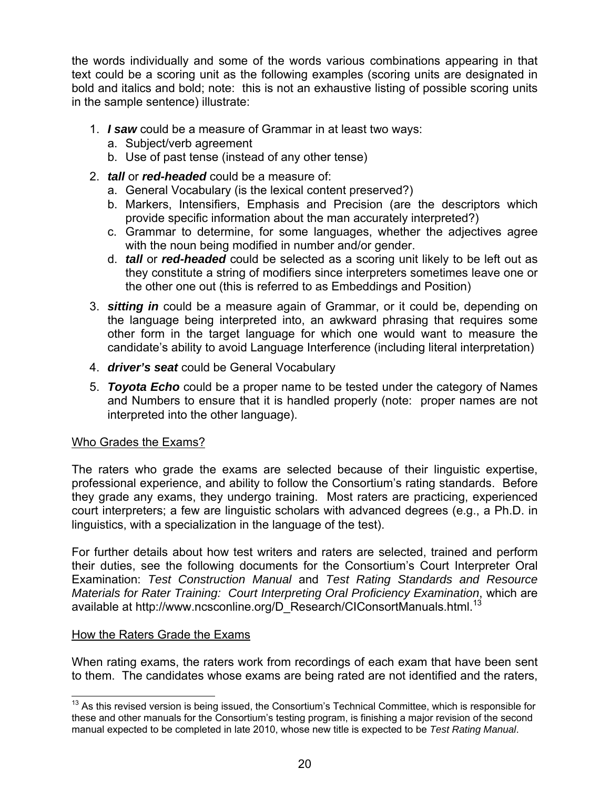the words individually and some of the words various combinations appearing in that text could be a scoring unit as the following examples (scoring units are designated in bold and italics and bold; note: this is not an exhaustive listing of possible scoring units in the sample sentence) illustrate:

- 1. *I saw* could be a measure of Grammar in at least two ways:
	- a. Subject/verb agreement
	- b. Use of past tense (instead of any other tense)
- 2. *tall* or *red-headed* could be a measure of:
	- a. General Vocabulary (is the lexical content preserved?)
	- b. Markers, Intensifiers, Emphasis and Precision (are the descriptors which provide specific information about the man accurately interpreted?)
	- c. Grammar to determine, for some languages, whether the adjectives agree with the noun being modified in number and/or gender.
	- d. *tall* or *red-headed* could be selected as a scoring unit likely to be left out as they constitute a string of modifiers since interpreters sometimes leave one or the other one out (this is referred to as Embeddings and Position)
- 3. *sitting in* could be a measure again of Grammar, or it could be, depending on the language being interpreted into, an awkward phrasing that requires some other form in the target language for which one would want to measure the candidate's ability to avoid Language Interference (including literal interpretation)
- 4. *driver's seat* could be General Vocabulary
- 5. *Toyota Echo* could be a proper name to be tested under the category of Names and Numbers to ensure that it is handled properly (note: proper names are not interpreted into the other language).

#### Who Grades the Exams?

The raters who grade the exams are selected because of their linguistic expertise, professional experience, and ability to follow the Consortium's rating standards. Before they grade any exams, they undergo training. Most raters are practicing, experienced court interpreters; a few are linguistic scholars with advanced degrees (e.g., a Ph.D. in linguistics, with a specialization in the language of the test).

For further details about how test writers and raters are selected, trained and perform their duties, see the following documents for the Consortium's Court Interpreter Oral Examination: *Test Construction Manual* and *Test Rating Standards and Resource Materials for Rater Training: Court Interpreting Oral Proficiency Examination*, which are available at http://www.ncsconline.org/D\_Research/CIConsortManuals.html.<sup>13</sup>

#### How the Raters Grade the Exams

When rating exams, the raters work from recordings of each exam that have been sent to them. The candidates whose exams are being rated are not identified and the raters,

l  $13$  As this revised version is being issued, the Consortium's Technical Committee, which is responsible for these and other manuals for the Consortium's testing program, is finishing a major revision of the second manual expected to be completed in late 2010, whose new title is expected to be *Test Rating Manual*.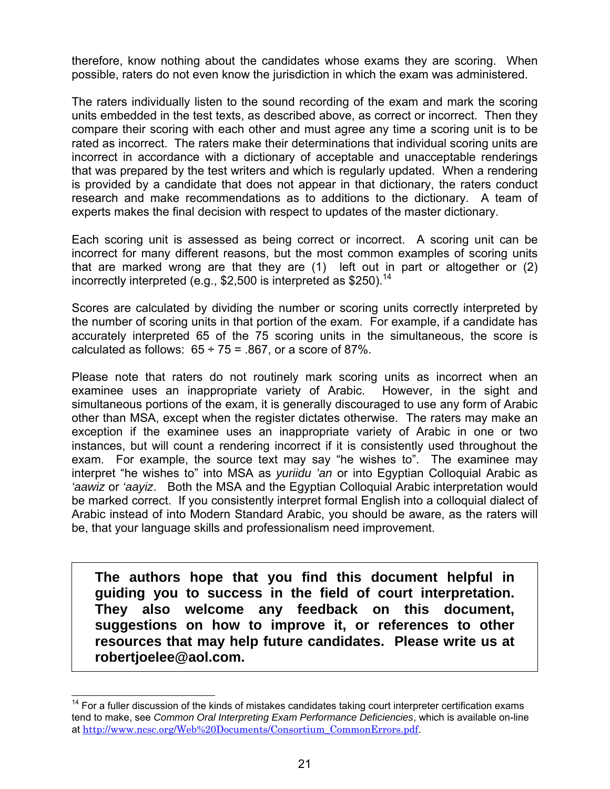therefore, know nothing about the candidates whose exams they are scoring. When possible, raters do not even know the jurisdiction in which the exam was administered.

The raters individually listen to the sound recording of the exam and mark the scoring units embedded in the test texts, as described above, as correct or incorrect. Then they compare their scoring with each other and must agree any time a scoring unit is to be rated as incorrect. The raters make their determinations that individual scoring units are incorrect in accordance with a dictionary of acceptable and unacceptable renderings that was prepared by the test writers and which is regularly updated. When a rendering is provided by a candidate that does not appear in that dictionary, the raters conduct research and make recommendations as to additions to the dictionary. A team of experts makes the final decision with respect to updates of the master dictionary.

Each scoring unit is assessed as being correct or incorrect. A scoring unit can be incorrect for many different reasons, but the most common examples of scoring units that are marked wrong are that they are (1) left out in part or altogether or (2) incorrectly interpreted (e.g., \$2,500 is interpreted as  $$250$ ).<sup>14</sup>

Scores are calculated by dividing the number or scoring units correctly interpreted by the number of scoring units in that portion of the exam. For example, if a candidate has accurately interpreted 65 of the 75 scoring units in the simultaneous, the score is calculated as follows:  $65 \div 75 = .867$ , or a score of 87%.

Please note that raters do not routinely mark scoring units as incorrect when an examinee uses an inappropriate variety of Arabic. However, in the sight and simultaneous portions of the exam, it is generally discouraged to use any form of Arabic other than MSA, except when the register dictates otherwise. The raters may make an exception if the examinee uses an inappropriate variety of Arabic in one or two instances, but will count a rendering incorrect if it is consistently used throughout the exam. For example, the source text may say "he wishes to". The examinee may interpret "he wishes to" into MSA as *yuriidu 'an* or into Egyptian Colloquial Arabic as *'aawiz* or *'aayiz*. Both the MSA and the Egyptian Colloquial Arabic interpretation would be marked correct. If you consistently interpret formal English into a colloquial dialect of Arabic instead of into Modern Standard Arabic, you should be aware, as the raters will be, that your language skills and professionalism need improvement.

**The authors hope that you find this document helpful in guiding you to success in the field of court interpretation. They also welcome any feedback on this document, suggestions on how to improve it, or references to other resources that may help future candidates. Please write us at robertjoelee@aol.com.**

 $14$  For a fuller discussion of the kinds of mistakes candidates taking court interpreter certification exams tend to make, see *Common Oral Interpreting Exam Performance Deficiencies*, which is available on-line at http://www.ncsc.org/Web%20Documents/Consortium\_CommonErrors.pdf.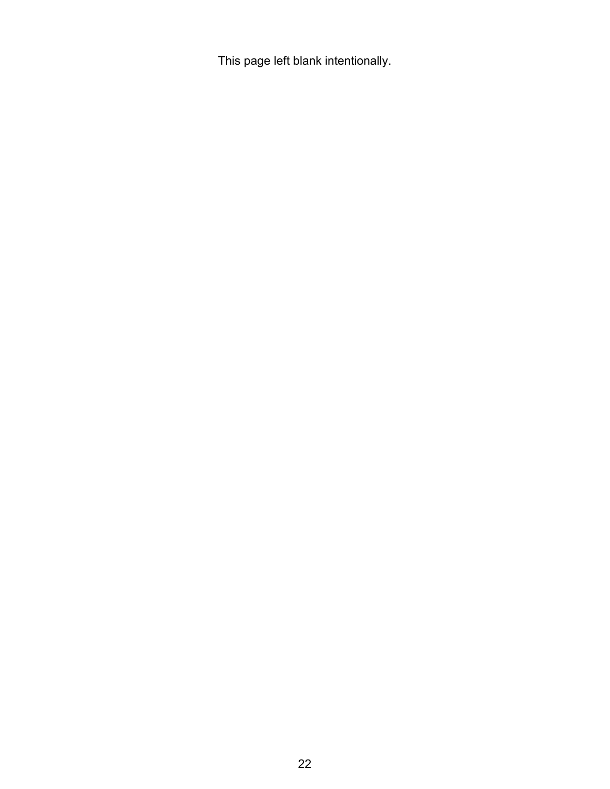This page left blank intentionally.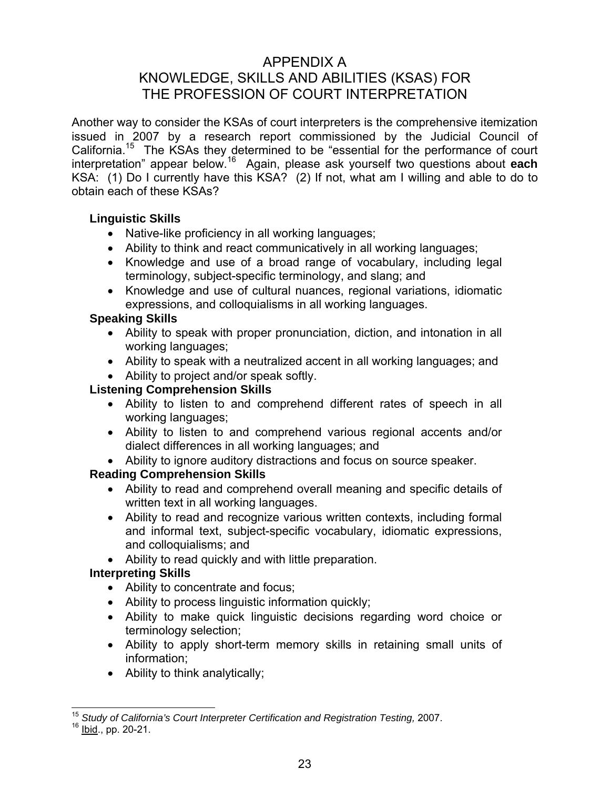# APPENDIX A KNOWLEDGE, SKILLS AND ABILITIES (KSAS) FOR THE PROFESSION OF COURT INTERPRETATION

Another way to consider the KSAs of court interpreters is the comprehensive itemization issued in 2007 by a research report commissioned by the Judicial Council of California.15 The KSAs they determined to be "essential for the performance of court interpretation" appear below.16 Again, please ask yourself two questions about **each** KSA: (1) Do I currently have this KSA? (2) If not, what am I willing and able to do to obtain each of these KSAs?

#### **Linguistic Skills**

- Native-like proficiency in all working languages;
- Ability to think and react communicatively in all working languages;
- Knowledge and use of a broad range of vocabulary, including legal terminology, subject-specific terminology, and slang; and
- Knowledge and use of cultural nuances, regional variations, idiomatic expressions, and colloquialisms in all working languages.

#### **Speaking Skills**

- Ability to speak with proper pronunciation, diction, and intonation in all working languages;
- Ability to speak with a neutralized accent in all working languages; and
- Ability to project and/or speak softly.

#### **Listening Comprehension Skills**

- Ability to listen to and comprehend different rates of speech in all working languages;
- Ability to listen to and comprehend various regional accents and/or dialect differences in all working languages; and
- Ability to ignore auditory distractions and focus on source speaker.

#### **Reading Comprehension Skills**

- Ability to read and comprehend overall meaning and specific details of written text in all working languages.
- Ability to read and recognize various written contexts, including formal and informal text, subject-specific vocabulary, idiomatic expressions, and colloquialisms; and
- Ability to read quickly and with little preparation.

#### **Interpreting Skills**

- Ability to concentrate and focus;
- Ability to process linguistic information quickly;
- Ability to make quick linguistic decisions regarding word choice or terminology selection;
- Ability to apply short-term memory skills in retaining small units of information;
- Ability to think analytically;

l <sup>15</sup> *Study of California's Court Interpreter Certification and Registration Testing,* 2007.

 $16$  Ibid., pp. 20-21.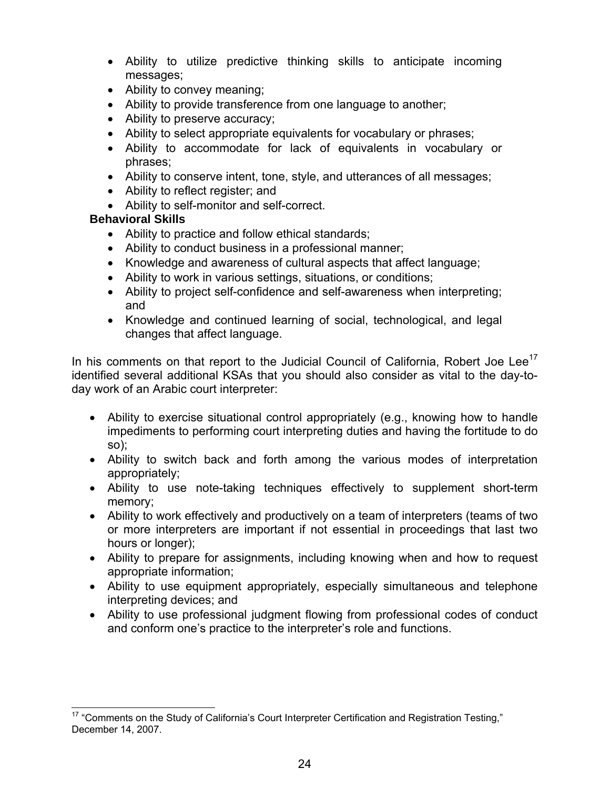- Ability to utilize predictive thinking skills to anticipate incoming messages;
- Ability to convey meaning;
- Ability to provide transference from one language to another;
- Ability to preserve accuracy;
- Ability to select appropriate equivalents for vocabulary or phrases;
- Ability to accommodate for lack of equivalents in vocabulary or phrases;
- Ability to conserve intent, tone, style, and utterances of all messages;
- Ability to reflect register; and
- Ability to self-monitor and self-correct.

### **Behavioral Skills**

- Ability to practice and follow ethical standards;
- Ability to conduct business in a professional manner;
- Knowledge and awareness of cultural aspects that affect language;
- Ability to work in various settings, situations, or conditions;
- Ability to project self-confidence and self-awareness when interpreting; and
- Knowledge and continued learning of social, technological, and legal changes that affect language.

In his comments on that report to the Judicial Council of California, Robert Joe Lee<sup>17</sup> identified several additional KSAs that you should also consider as vital to the day-today work of an Arabic court interpreter:

- Ability to exercise situational control appropriately (e.g., knowing how to handle impediments to performing court interpreting duties and having the fortitude to do so);
- Ability to switch back and forth among the various modes of interpretation appropriately;
- Ability to use note-taking techniques effectively to supplement short-term memory;
- Ability to work effectively and productively on a team of interpreters (teams of two or more interpreters are important if not essential in proceedings that last two hours or longer);
- Ability to prepare for assignments, including knowing when and how to request appropriate information;
- Ability to use equipment appropriately, especially simultaneous and telephone interpreting devices; and
- Ability to use professional judgment flowing from professional codes of conduct and conform one's practice to the interpreter's role and functions.

l  $17$  "Comments on the Study of California's Court Interpreter Certification and Registration Testing," December 14, 2007.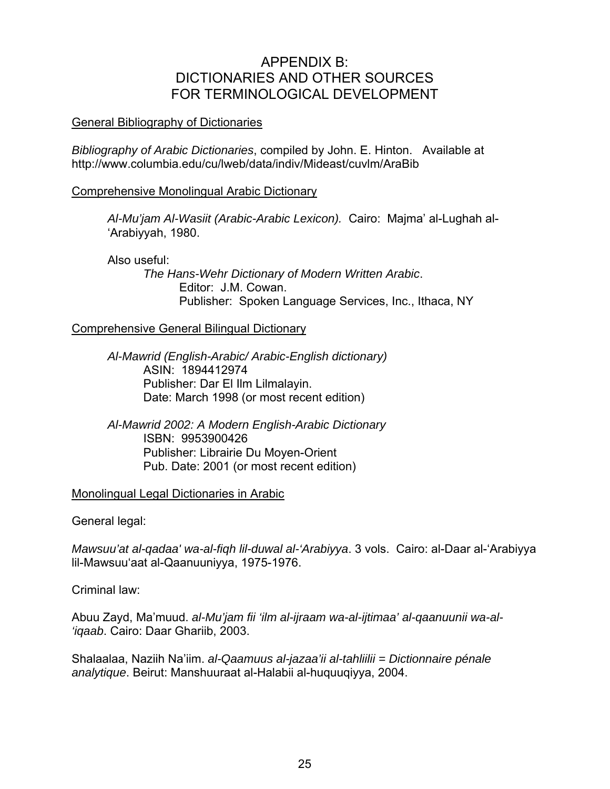# APPENDIX B: DICTIONARIES AND OTHER SOURCES FOR TERMINOLOGICAL DEVELOPMENT

#### General Bibliography of Dictionaries

*Bibliography of Arabic Dictionaries*, compiled by John. E. Hinton. Available at http://www.columbia.edu/cu/lweb/data/indiv/Mideast/cuvlm/AraBib

Comprehensive Monolingual Arabic Dictionary

*Al-Mu'jam Al-Wasiit (Arabic-Arabic Lexicon).* Cairo: Majma' al-Lughah al- 'Arabiyyah, 1980.

Also useful: *The Hans-Wehr Dictionary of Modern Written Arabic*. Editor: J.M. Cowan. Publisher: Spoken Language Services, Inc., Ithaca, NY

#### Comprehensive General Bilingual Dictionary

*Al-Mawrid (English-Arabic/ Arabic-English dictionary)*  ASIN: 1894412974 Publisher: Dar El Ilm Lilmalayin. Date: March 1998 (or most recent edition)

*Al-Mawrid 2002: A Modern English-Arabic Dictionary* ISBN: 9953900426 Publisher: Librairie Du Moyen-Orient Pub. Date: 2001 (or most recent edition)

Monolingual Legal Dictionaries in Arabic

General legal:

*Mawsuu'at al-qadaa' wa-al-fiqh lil-duwal al-'Arabiyya*. 3 vols. Cairo: al-Daar al-'Arabiyya lil-Mawsuu'aat al-Qaanuuniyya, 1975-1976.

Criminal law:

Abuu Zayd, Ma'muud. *al-Mu'jam fii 'ilm al-ijraam wa-al-ijtimaa' al-qaanuunii wa-al- 'iqaab*. Cairo: Daar Ghariib, 2003.

Shalaalaa, Naziih Na'iim. *al-Qaamuus al-jazaa'ii al-tahliilii = Dictionnaire pénale analytique*. Beirut: Manshuuraat al-Halabii al-huquuqiyya, 2004.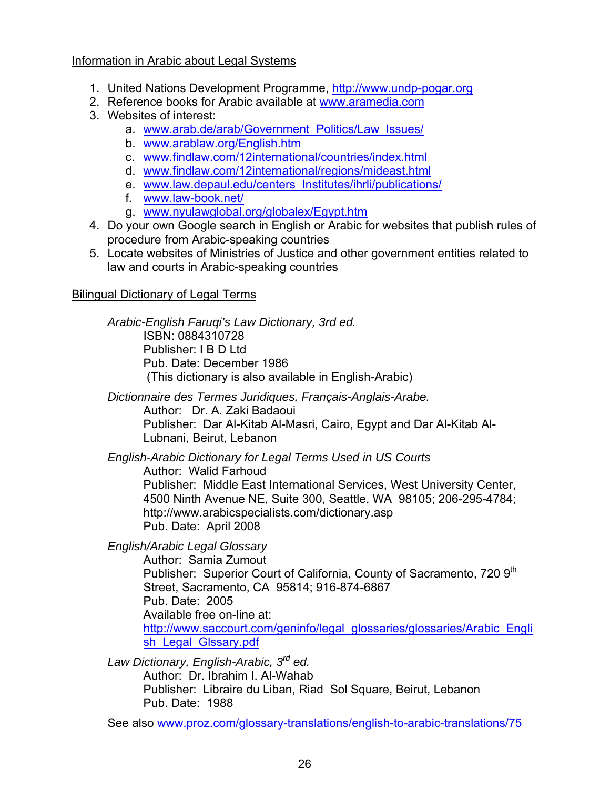#### Information in Arabic about Legal Systems

- 1. United Nations Development Programme, http://www.undp-pogar.org
- 2. Reference books for Arabic available at www.aramedia.com
- 3. Websites of interest:
	- a. www.arab.de/arab/Government\_Politics/Law\_Issues/
	- b. www.arablaw.org/English.htm
	- c. www.findlaw.com/12international/countries/index.html
	- d. www.findlaw.com/12international/regions/mideast.html
	- e. www.law.depaul.edu/centers\_Institutes/ihrli/publications/
	- f. www.law-book.net/
	- g. www.nyulawglobal.org/globalex/Egypt.htm
- 4. Do your own Google search in English or Arabic for websites that publish rules of procedure from Arabic-speaking countries
- 5. Locate websites of Ministries of Justice and other government entities related to law and courts in Arabic-speaking countries

#### Bilingual Dictionary of Legal Terms

*Arabic-English Faruqi's Law Dictionary, 3rd ed.*  ISBN: 0884310728 Publisher: I B D Ltd Pub. Date: December 1986 (This dictionary is also available in English-Arabic)

*Dictionnaire des Termes Juridiques, Français-Anglais-Arabe.*  Author: Dr. A. Zaki Badaoui Publisher: Dar Al-Kitab Al-Masri, Cairo, Egypt and Dar Al-Kitab Al-Lubnani, Beirut, Lebanon

*English-Arabic Dictionary for Legal Terms Used in US Courts*  Author: Walid Farhoud Publisher: Middle East International Services, West University Center, 4500 Ninth Avenue NE, Suite 300, Seattle, WA 98105; 206-295-4784; http://www.arabicspecialists.com/dictionary.asp Pub. Date: April 2008

*English/Arabic Legal Glossary*

Author: Samia Zumout Publisher: Superior Court of California, County of Sacramento, 720 9<sup>th</sup> Street, Sacramento, CA 95814; 916-874-6867 Pub. Date: 2005 Available free on-line at: http://www.saccourt.com/geninfo/legal\_glossaries/glossaries/Arabic\_Engli sh\_Legal\_Glssary.pdf

*Law Dictionary, English-Arabic, 3rd ed.* 

 Author: Dr. Ibrahim I. Al-Wahab Publisher: Libraire du Liban, Riad Sol Square, Beirut, Lebanon Pub. Date: 1988

See also www.proz.com/glossary-translations/english-to-arabic-translations/75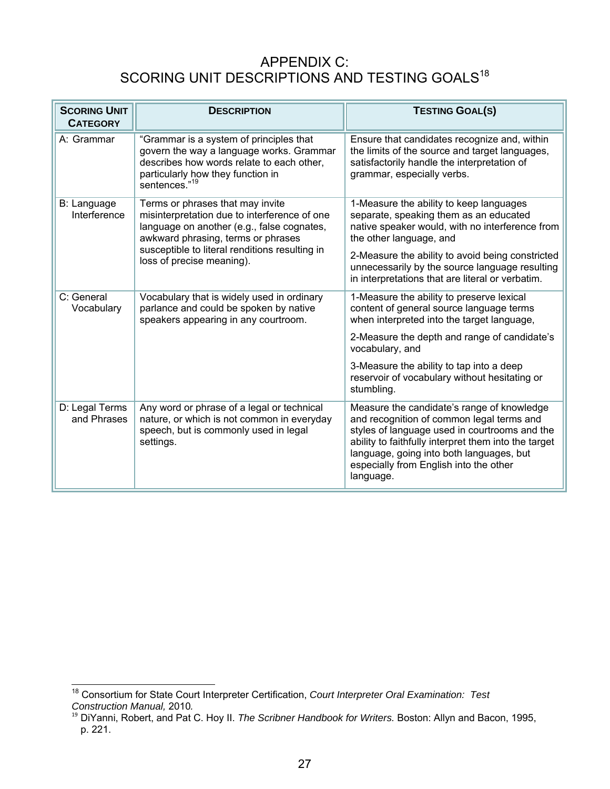# APPENDIX C: SCORING UNIT DESCRIPTIONS AND TESTING GOALS<sup>18</sup>

| <b>SCORING UNIT</b><br><b>CATEGORY</b>                                                                                                                                                              | <b>DESCRIPTION</b>                                                                                                                                                                     | <b>TESTING GOAL(S)</b>                                                                                                                                                                                                                                                                              |
|-----------------------------------------------------------------------------------------------------------------------------------------------------------------------------------------------------|----------------------------------------------------------------------------------------------------------------------------------------------------------------------------------------|-----------------------------------------------------------------------------------------------------------------------------------------------------------------------------------------------------------------------------------------------------------------------------------------------------|
| A: Grammar                                                                                                                                                                                          | "Grammar is a system of principles that<br>govern the way a language works. Grammar<br>describes how words relate to each other,<br>particularly how they function in<br>sentences."19 | Ensure that candidates recognize and, within<br>the limits of the source and target languages,<br>satisfactorily handle the interpretation of<br>grammar, especially verbs.                                                                                                                         |
| B: Language<br>Terms or phrases that may invite<br>Interference<br>misinterpretation due to interference of one<br>language on another (e.g., false cognates,<br>awkward phrasing, terms or phrases |                                                                                                                                                                                        | 1-Measure the ability to keep languages<br>separate, speaking them as an educated<br>native speaker would, with no interference from<br>the other language, and                                                                                                                                     |
| susceptible to literal renditions resulting in<br>loss of precise meaning).                                                                                                                         | 2-Measure the ability to avoid being constricted<br>unnecessarily by the source language resulting<br>in interpretations that are literal or verbatim.                                 |                                                                                                                                                                                                                                                                                                     |
| C: General<br>Vocabulary                                                                                                                                                                            | Vocabulary that is widely used in ordinary<br>parlance and could be spoken by native<br>speakers appearing in any courtroom.                                                           | 1-Measure the ability to preserve lexical<br>content of general source language terms<br>when interpreted into the target language,                                                                                                                                                                 |
|                                                                                                                                                                                                     |                                                                                                                                                                                        | 2-Measure the depth and range of candidate's<br>vocabulary, and                                                                                                                                                                                                                                     |
|                                                                                                                                                                                                     |                                                                                                                                                                                        | 3-Measure the ability to tap into a deep<br>reservoir of vocabulary without hesitating or<br>stumbling.                                                                                                                                                                                             |
| D: Legal Terms<br>and Phrases                                                                                                                                                                       | Any word or phrase of a legal or technical<br>nature, or which is not common in everyday<br>speech, but is commonly used in legal<br>settings.                                         | Measure the candidate's range of knowledge<br>and recognition of common legal terms and<br>styles of language used in courtrooms and the<br>ability to faithfully interpret them into the target<br>language, going into both languages, but<br>especially from English into the other<br>language. |

<sup>18</sup> Consortium for State Court Interpreter Certification, *Court Interpreter Oral Examination: Test Construction Manual,* 2010*.*

<sup>&</sup>lt;sup>19</sup> DiYanni, Robert, and Pat C. Hoy II. *The Scribner Handbook for Writers.* Boston: Allyn and Bacon, 1995, p. 221.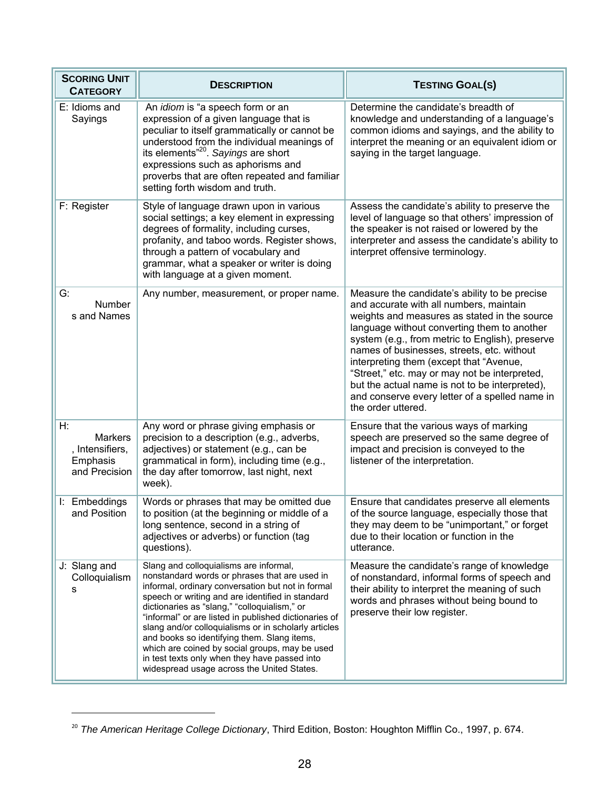| <b>SCORING UNIT</b><br><b>CATEGORY</b>                               | <b>DESCRIPTION</b>                                                                                                                                                                                                                                                                                                                                                                                                                                                                                                                                                | <b>TESTING GOAL(S)</b>                                                                                                                                                                                                                                                                                                                                                                                                                                                                                         |
|----------------------------------------------------------------------|-------------------------------------------------------------------------------------------------------------------------------------------------------------------------------------------------------------------------------------------------------------------------------------------------------------------------------------------------------------------------------------------------------------------------------------------------------------------------------------------------------------------------------------------------------------------|----------------------------------------------------------------------------------------------------------------------------------------------------------------------------------------------------------------------------------------------------------------------------------------------------------------------------------------------------------------------------------------------------------------------------------------------------------------------------------------------------------------|
| E: Idioms and<br>Sayings                                             | An <i>idiom</i> is "a speech form or an<br>expression of a given language that is<br>peculiar to itself grammatically or cannot be<br>understood from the individual meanings of<br>its elements" <sup>20</sup> . Sayings are short<br>expressions such as aphorisms and<br>proverbs that are often repeated and familiar<br>setting forth wisdom and truth.                                                                                                                                                                                                      | Determine the candidate's breadth of<br>knowledge and understanding of a language's<br>common idioms and sayings, and the ability to<br>interpret the meaning or an equivalent idiom or<br>saying in the target language.                                                                                                                                                                                                                                                                                      |
| F: Register                                                          | Style of language drawn upon in various<br>social settings; a key element in expressing<br>degrees of formality, including curses,<br>profanity, and taboo words. Register shows,<br>through a pattern of vocabulary and<br>grammar, what a speaker or writer is doing<br>with language at a given moment.                                                                                                                                                                                                                                                        | Assess the candidate's ability to preserve the<br>level of language so that others' impression of<br>the speaker is not raised or lowered by the<br>interpreter and assess the candidate's ability to<br>interpret offensive terminology.                                                                                                                                                                                                                                                                      |
| G:<br>Number<br>s and Names                                          | Any number, measurement, or proper name.                                                                                                                                                                                                                                                                                                                                                                                                                                                                                                                          | Measure the candidate's ability to be precise<br>and accurate with all numbers, maintain<br>weights and measures as stated in the source<br>language without converting them to another<br>system (e.g., from metric to English), preserve<br>names of businesses, streets, etc. without<br>interpreting them (except that "Avenue,<br>"Street," etc. may or may not be interpreted,<br>but the actual name is not to be interpreted),<br>and conserve every letter of a spelled name in<br>the order uttered. |
| H:<br><b>Markers</b><br>, Intensifiers,<br>Emphasis<br>and Precision | Any word or phrase giving emphasis or<br>precision to a description (e.g., adverbs,<br>adjectives) or statement (e.g., can be<br>grammatical in form), including time (e.g.,<br>the day after tomorrow, last night, next<br>week).                                                                                                                                                                                                                                                                                                                                | Ensure that the various ways of marking<br>speech are preserved so the same degree of<br>impact and precision is conveyed to the<br>listener of the interpretation.                                                                                                                                                                                                                                                                                                                                            |
| I: Embeddings<br>and Position                                        | Words or phrases that may be omitted due<br>to position (at the beginning or middle of a<br>long sentence, second in a string of<br>adjectives or adverbs) or function (tag<br>questions).                                                                                                                                                                                                                                                                                                                                                                        | Ensure that candidates preserve all elements<br>of the source language, especially those that<br>they may deem to be "unimportant," or forget<br>due to their location or function in the<br>utterance.                                                                                                                                                                                                                                                                                                        |
| J: Slang and<br>Colloquialism<br>s                                   | Slang and colloquialisms are informal,<br>nonstandard words or phrases that are used in<br>informal, ordinary conversation but not in formal<br>speech or writing and are identified in standard<br>dictionaries as "slang," "colloquialism," or<br>"informal" or are listed in published dictionaries of<br>slang and/or colloquialisms or in scholarly articles<br>and books so identifying them. Slang items,<br>which are coined by social groups, may be used<br>in test texts only when they have passed into<br>widespread usage across the United States. | Measure the candidate's range of knowledge<br>of nonstandard, informal forms of speech and<br>their ability to interpret the meaning of such<br>words and phrases without being bound to<br>preserve their low register.                                                                                                                                                                                                                                                                                       |

<sup>20</sup> *The American Heritage College Dictionary*, Third Edition, Boston: Houghton Mifflin Co., 1997, p. 674.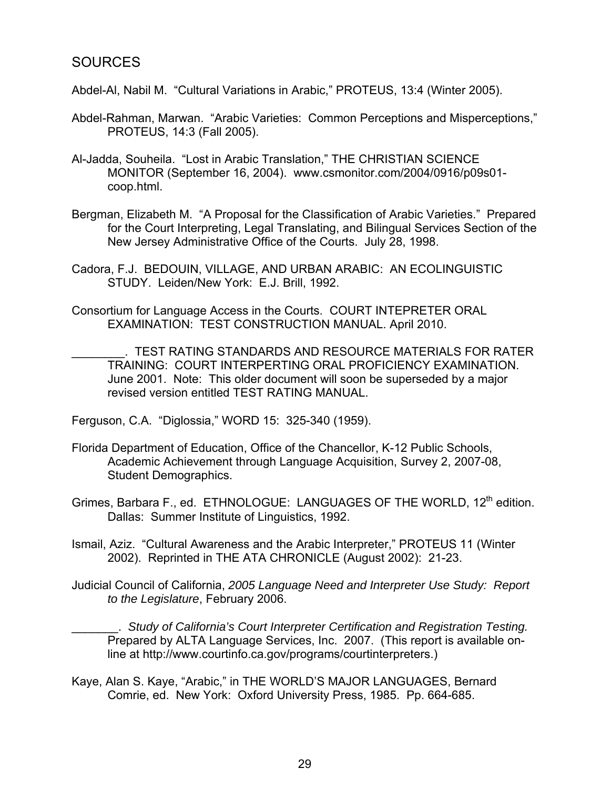# **SOURCES**

Abdel-Al, Nabil M. "Cultural Variations in Arabic," PROTEUS, 13:4 (Winter 2005).

- Abdel-Rahman, Marwan. "Arabic Varieties: Common Perceptions and Misperceptions," PROTEUS, 14:3 (Fall 2005).
- Al-Jadda, Souheila. "Lost in Arabic Translation," THE CHRISTIAN SCIENCE MONITOR (September 16, 2004). www.csmonitor.com/2004/0916/p09s01 coop.html.
- Bergman, Elizabeth M. "A Proposal for the Classification of Arabic Varieties." Prepared for the Court Interpreting, Legal Translating, and Bilingual Services Section of the New Jersey Administrative Office of the Courts. July 28, 1998.
- Cadora, F.J. BEDOUIN, VILLAGE, AND URBAN ARABIC: AN ECOLINGUISTIC STUDY. Leiden/New York: E.J. Brill, 1992.
- Consortium for Language Access in the Courts. COURT INTEPRETER ORAL EXAMINATION: TEST CONSTRUCTION MANUAL. April 2010.

\_\_\_\_\_\_\_\_. TEST RATING STANDARDS AND RESOURCE MATERIALS FOR RATER TRAINING: COURT INTERPERTING ORAL PROFICIENCY EXAMINATION. June 2001. Note: This older document will soon be superseded by a major revised version entitled TEST RATING MANUAL.

Ferguson, C.A. "Diglossia," WORD 15: 325-340 (1959).

- Florida Department of Education, Office of the Chancellor, K-12 Public Schools, Academic Achievement through Language Acquisition, Survey 2, 2007-08, Student Demographics.
- Grimes, Barbara F., ed. ETHNOLOGUE: LANGUAGES OF THE WORLD, 12<sup>th</sup> edition. Dallas: Summer Institute of Linguistics, 1992.
- Ismail, Aziz. "Cultural Awareness and the Arabic Interpreter," PROTEUS 11 (Winter 2002). Reprinted in THE ATA CHRONICLE (August 2002): 21-23.
- Judicial Council of California, *2005 Language Need and Interpreter Use Study: Report to the Legislature*, February 2006.
	- \_\_\_\_\_\_\_. *Study of California's Court Interpreter Certification and Registration Testing.*  Prepared by ALTA Language Services, Inc. 2007. (This report is available online at http://www.courtinfo.ca.gov/programs/courtinterpreters.)
- Kaye, Alan S. Kaye, "Arabic," in THE WORLD'S MAJOR LANGUAGES, Bernard Comrie, ed. New York: Oxford University Press, 1985. Pp. 664-685.